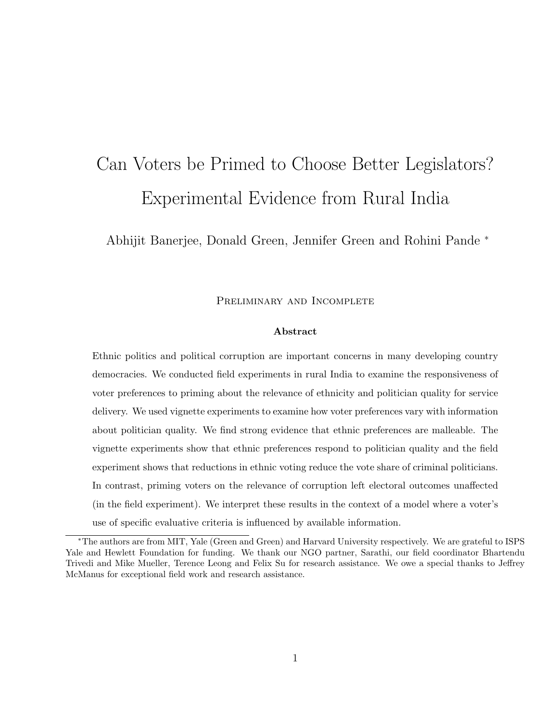# Can Voters be Primed to Choose Better Legislators? Experimental Evidence from Rural India

Abhijit Banerjee, Donald Green, Jennifer Green and Rohini Pande <sup>∗</sup>

PRELIMINARY AND INCOMPLETE

#### Abstract

Ethnic politics and political corruption are important concerns in many developing country democracies. We conducted field experiments in rural India to examine the responsiveness of voter preferences to priming about the relevance of ethnicity and politician quality for service delivery. We used vignette experiments to examine how voter preferences vary with information about politician quality. We find strong evidence that ethnic preferences are malleable. The vignette experiments show that ethnic preferences respond to politician quality and the field experiment shows that reductions in ethnic voting reduce the vote share of criminal politicians. In contrast, priming voters on the relevance of corruption left electoral outcomes unaffected (in the field experiment). We interpret these results in the context of a model where a voter's use of specific evaluative criteria is influenced by available information.

<sup>∗</sup>The authors are from MIT, Yale (Green and Green) and Harvard University respectively. We are grateful to ISPS Yale and Hewlett Foundation for funding. We thank our NGO partner, Sarathi, our field coordinator Bhartendu Trivedi and Mike Mueller, Terence Leong and Felix Su for research assistance. We owe a special thanks to Jeffrey McManus for exceptional field work and research assistance.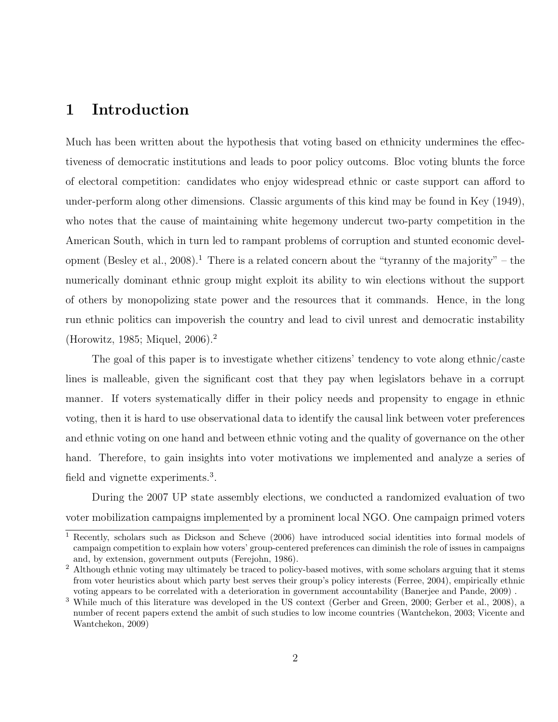# 1 Introduction

Much has been written about the hypothesis that voting based on ethnicity undermines the effectiveness of democratic institutions and leads to poor policy outcoms. Bloc voting blunts the force of electoral competition: candidates who enjoy widespread ethnic or caste support can afford to under-perform along other dimensions. Classic arguments of this kind may be found in Key (1949), who notes that the cause of maintaining white hegemony undercut two-party competition in the American South, which in turn led to rampant problems of corruption and stunted economic development (Besley et al., 2008).<sup>1</sup> There is a related concern about the "tyranny of the majority" – the numerically dominant ethnic group might exploit its ability to win elections without the support of others by monopolizing state power and the resources that it commands. Hence, in the long run ethnic politics can impoverish the country and lead to civil unrest and democratic instability (Horowitz, 1985; Miquel, 2006).<sup>2</sup>

The goal of this paper is to investigate whether citizens' tendency to vote along ethnic/caste lines is malleable, given the significant cost that they pay when legislators behave in a corrupt manner. If voters systematically differ in their policy needs and propensity to engage in ethnic voting, then it is hard to use observational data to identify the causal link between voter preferences and ethnic voting on one hand and between ethnic voting and the quality of governance on the other hand. Therefore, to gain insights into voter motivations we implemented and analyze a series of field and vignette experiments.<sup>3</sup>.

During the 2007 UP state assembly elections, we conducted a randomized evaluation of two voter mobilization campaigns implemented by a prominent local NGO. One campaign primed voters

<sup>1</sup> Recently, scholars such as Dickson and Scheve (2006) have introduced social identities into formal models of campaign competition to explain how voters' group-centered preferences can diminish the role of issues in campaigns and, by extension, government outputs (Ferejohn, 1986).

<sup>&</sup>lt;sup>2</sup> Although ethnic voting may ultimately be traced to policy-based motives, with some scholars arguing that it stems from voter heuristics about which party best serves their group's policy interests (Ferree, 2004), empirically ethnic voting appears to be correlated with a deterioration in government accountability (Banerjee and Pande, 2009) .

<sup>3</sup> While much of this literature was developed in the US context (Gerber and Green, 2000; Gerber et al., 2008), a number of recent papers extend the ambit of such studies to low income countries (Wantchekon, 2003; Vicente and Wantchekon, 2009)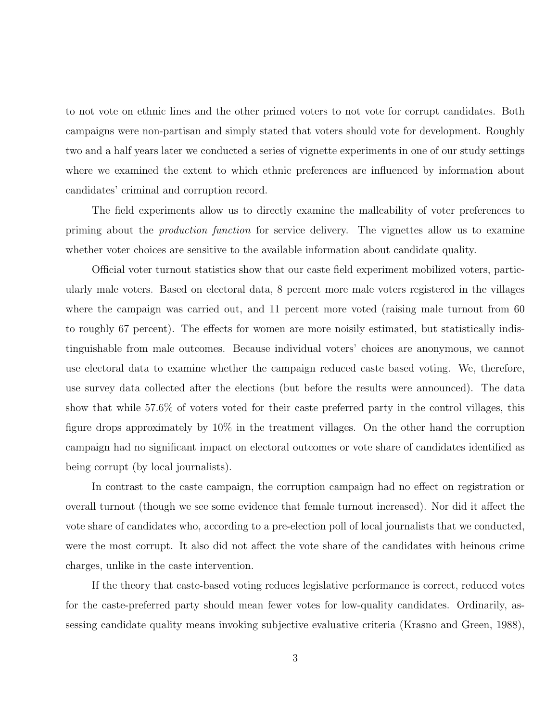to not vote on ethnic lines and the other primed voters to not vote for corrupt candidates. Both campaigns were non-partisan and simply stated that voters should vote for development. Roughly two and a half years later we conducted a series of vignette experiments in one of our study settings where we examined the extent to which ethnic preferences are influenced by information about candidates' criminal and corruption record.

The field experiments allow us to directly examine the malleability of voter preferences to priming about the production function for service delivery. The vignettes allow us to examine whether voter choices are sensitive to the available information about candidate quality.

Official voter turnout statistics show that our caste field experiment mobilized voters, particularly male voters. Based on electoral data, 8 percent more male voters registered in the villages where the campaign was carried out, and 11 percent more voted (raising male turnout from 60 to roughly 67 percent). The effects for women are more noisily estimated, but statistically indistinguishable from male outcomes. Because individual voters' choices are anonymous, we cannot use electoral data to examine whether the campaign reduced caste based voting. We, therefore, use survey data collected after the elections (but before the results were announced). The data show that while 57.6% of voters voted for their caste preferred party in the control villages, this figure drops approximately by 10% in the treatment villages. On the other hand the corruption campaign had no significant impact on electoral outcomes or vote share of candidates identified as being corrupt (by local journalists).

In contrast to the caste campaign, the corruption campaign had no effect on registration or overall turnout (though we see some evidence that female turnout increased). Nor did it affect the vote share of candidates who, according to a pre-election poll of local journalists that we conducted, were the most corrupt. It also did not affect the vote share of the candidates with heinous crime charges, unlike in the caste intervention.

If the theory that caste-based voting reduces legislative performance is correct, reduced votes for the caste-preferred party should mean fewer votes for low-quality candidates. Ordinarily, assessing candidate quality means invoking subjective evaluative criteria (Krasno and Green, 1988),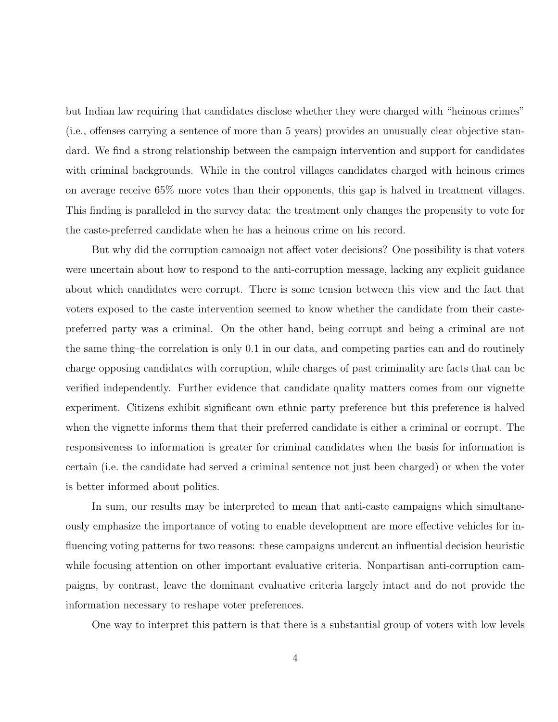but Indian law requiring that candidates disclose whether they were charged with "heinous crimes" (i.e., offenses carrying a sentence of more than 5 years) provides an unusually clear objective standard. We find a strong relationship between the campaign intervention and support for candidates with criminal backgrounds. While in the control villages candidates charged with heinous crimes on average receive 65% more votes than their opponents, this gap is halved in treatment villages. This finding is paralleled in the survey data: the treatment only changes the propensity to vote for the caste-preferred candidate when he has a heinous crime on his record.

But why did the corruption camoaign not affect voter decisions? One possibility is that voters were uncertain about how to respond to the anti-corruption message, lacking any explicit guidance about which candidates were corrupt. There is some tension between this view and the fact that voters exposed to the caste intervention seemed to know whether the candidate from their castepreferred party was a criminal. On the other hand, being corrupt and being a criminal are not the same thing–the correlation is only 0.1 in our data, and competing parties can and do routinely charge opposing candidates with corruption, while charges of past criminality are facts that can be verified independently. Further evidence that candidate quality matters comes from our vignette experiment. Citizens exhibit significant own ethnic party preference but this preference is halved when the vignette informs them that their preferred candidate is either a criminal or corrupt. The responsiveness to information is greater for criminal candidates when the basis for information is certain (i.e. the candidate had served a criminal sentence not just been charged) or when the voter is better informed about politics.

In sum, our results may be interpreted to mean that anti-caste campaigns which simultaneously emphasize the importance of voting to enable development are more effective vehicles for influencing voting patterns for two reasons: these campaigns undercut an influential decision heuristic while focusing attention on other important evaluative criteria. Nonpartisan anti-corruption campaigns, by contrast, leave the dominant evaluative criteria largely intact and do not provide the information necessary to reshape voter preferences.

One way to interpret this pattern is that there is a substantial group of voters with low levels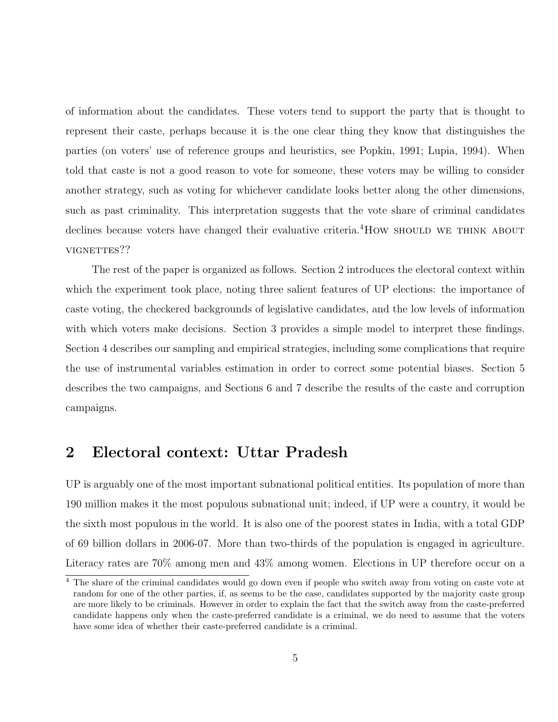of information about the candidates. These voters tend to support the party that is thought to represent their caste, perhaps because it is the one clear thing they know that distinguishes the parties (on voters' use of reference groups and heuristics, see Popkin, 1991; Lupia, 1994). When told that caste is not a good reason to vote for someone, these voters may be willing to consider another strategy, such as voting for whichever candidate looks better along the other dimensions, such as past criminality. This interpretation suggests that the vote share of criminal candidates declines because voters have changed their evaluative criteria.<sup>4</sup>How should we Think About VIGNETTES??

The rest of the paper is organized as follows. Section 2 introduces the electoral context within which the experiment took place, noting three salient features of UP elections: the importance of caste voting, the checkered backgrounds of legislative candidates, and the low levels of information with which voters make decisions. Section 3 provides a simple model to interpret these findings. Section 4 describes our sampling and empirical strategies, including some complications that require the use of instrumental variables estimation in order to correct some potential biases. Section 5 describes the two campaigns, and Sections 6 and 7 describe the results of the caste and corruption campaigns.

# 2 Electoral context: Uttar Pradesh

UP is arguably one of the most important subnational political entities. Its population of more than 190 million makes it the most populous subnational unit; indeed, if UP were a country, it would be the sixth most populous in the world. It is also one of the poorest states in India, with a total GDP of 69 billion dollars in 2006-07. More than two-thirds of the population is engaged in agriculture. Literacy rates are 70% among men and 43% among women. Elections in UP therefore occur on a

 $\frac{4}{4}$  The share of the criminal candidates would go down even if people who switch away from voting on caste vote at random for one of the other parties, if, as seems to be the case, candidates supported by the majority caste group are more likely to be criminals. However in order to explain the fact that the switch away from the caste-preferred candidate happens only when the caste-preferred candidate is a criminal, we do need to assume that the voters have some idea of whether their caste-preferred candidate is a criminal.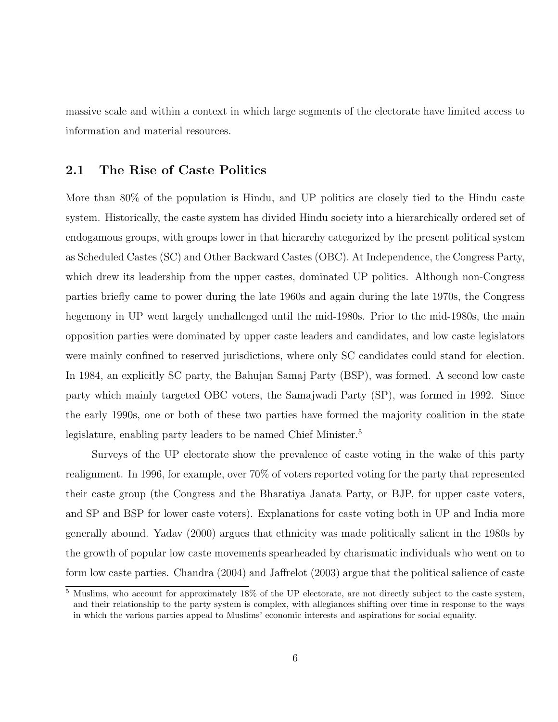massive scale and within a context in which large segments of the electorate have limited access to information and material resources.

## 2.1 The Rise of Caste Politics

More than 80% of the population is Hindu, and UP politics are closely tied to the Hindu caste system. Historically, the caste system has divided Hindu society into a hierarchically ordered set of endogamous groups, with groups lower in that hierarchy categorized by the present political system as Scheduled Castes (SC) and Other Backward Castes (OBC). At Independence, the Congress Party, which drew its leadership from the upper castes, dominated UP politics. Although non-Congress parties briefly came to power during the late 1960s and again during the late 1970s, the Congress hegemony in UP went largely unchallenged until the mid-1980s. Prior to the mid-1980s, the main opposition parties were dominated by upper caste leaders and candidates, and low caste legislators were mainly confined to reserved jurisdictions, where only SC candidates could stand for election. In 1984, an explicitly SC party, the Bahujan Samaj Party (BSP), was formed. A second low caste party which mainly targeted OBC voters, the Samajwadi Party (SP), was formed in 1992. Since the early 1990s, one or both of these two parties have formed the majority coalition in the state legislature, enabling party leaders to be named Chief Minister.<sup>5</sup>

Surveys of the UP electorate show the prevalence of caste voting in the wake of this party realignment. In 1996, for example, over 70% of voters reported voting for the party that represented their caste group (the Congress and the Bharatiya Janata Party, or BJP, for upper caste voters, and SP and BSP for lower caste voters). Explanations for caste voting both in UP and India more generally abound. Yadav (2000) argues that ethnicity was made politically salient in the 1980s by the growth of popular low caste movements spearheaded by charismatic individuals who went on to form low caste parties. Chandra (2004) and Jaffrelot (2003) argue that the political salience of caste

 $5$  Muslims, who account for approximately 18% of the UP electorate, are not directly subject to the caste system, and their relationship to the party system is complex, with allegiances shifting over time in response to the ways in which the various parties appeal to Muslims' economic interests and aspirations for social equality.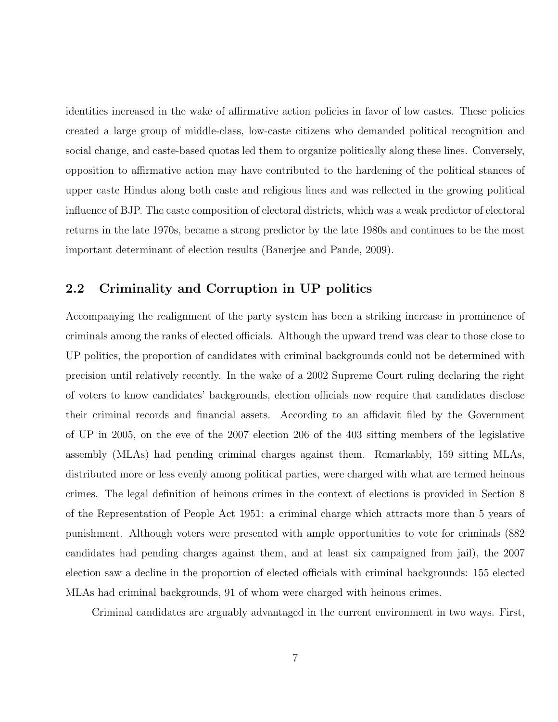identities increased in the wake of affirmative action policies in favor of low castes. These policies created a large group of middle-class, low-caste citizens who demanded political recognition and social change, and caste-based quotas led them to organize politically along these lines. Conversely, opposition to affirmative action may have contributed to the hardening of the political stances of upper caste Hindus along both caste and religious lines and was reflected in the growing political influence of BJP. The caste composition of electoral districts, which was a weak predictor of electoral returns in the late 1970s, became a strong predictor by the late 1980s and continues to be the most important determinant of election results (Banerjee and Pande, 2009).

### 2.2 Criminality and Corruption in UP politics

Accompanying the realignment of the party system has been a striking increase in prominence of criminals among the ranks of elected officials. Although the upward trend was clear to those close to UP politics, the proportion of candidates with criminal backgrounds could not be determined with precision until relatively recently. In the wake of a 2002 Supreme Court ruling declaring the right of voters to know candidates' backgrounds, election officials now require that candidates disclose their criminal records and financial assets. According to an affidavit filed by the Government of UP in 2005, on the eve of the 2007 election 206 of the 403 sitting members of the legislative assembly (MLAs) had pending criminal charges against them. Remarkably, 159 sitting MLAs, distributed more or less evenly among political parties, were charged with what are termed heinous crimes. The legal definition of heinous crimes in the context of elections is provided in Section 8 of the Representation of People Act 1951: a criminal charge which attracts more than 5 years of punishment. Although voters were presented with ample opportunities to vote for criminals (882 candidates had pending charges against them, and at least six campaigned from jail), the 2007 election saw a decline in the proportion of elected officials with criminal backgrounds: 155 elected MLAs had criminal backgrounds, 91 of whom were charged with heinous crimes.

Criminal candidates are arguably advantaged in the current environment in two ways. First,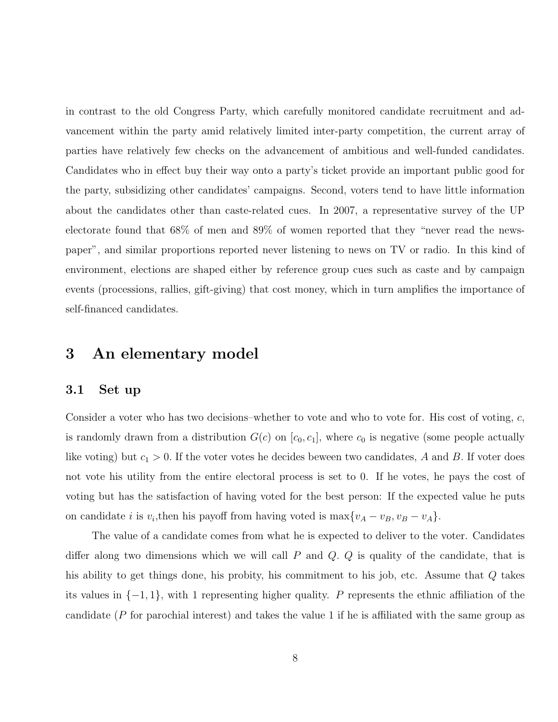in contrast to the old Congress Party, which carefully monitored candidate recruitment and advancement within the party amid relatively limited inter-party competition, the current array of parties have relatively few checks on the advancement of ambitious and well-funded candidates. Candidates who in effect buy their way onto a party's ticket provide an important public good for the party, subsidizing other candidates' campaigns. Second, voters tend to have little information about the candidates other than caste-related cues. In 2007, a representative survey of the UP electorate found that 68% of men and 89% of women reported that they "never read the newspaper", and similar proportions reported never listening to news on TV or radio. In this kind of environment, elections are shaped either by reference group cues such as caste and by campaign events (processions, rallies, gift-giving) that cost money, which in turn amplifies the importance of self-financed candidates.

# 3 An elementary model

#### 3.1 Set up

Consider a voter who has two decisions–whether to vote and who to vote for. His cost of voting, c, is randomly drawn from a distribution  $G(c)$  on  $[c_0, c_1]$ , where  $c_0$  is negative (some people actually like voting) but  $c_1 > 0$ . If the voter votes he decides beween two candidates, A and B. If voter does not vote his utility from the entire electoral process is set to 0. If he votes, he pays the cost of voting but has the satisfaction of having voted for the best person: If the expected value he puts on candidate *i* is  $v_i$ , then his payoff from having voted is  $\max\{v_A - v_B, v_B - v_A\}$ .

The value of a candidate comes from what he is expected to deliver to the voter. Candidates differ along two dimensions which we will call  $P$  and  $Q$ .  $Q$  is quality of the candidate, that is his ability to get things done, his probity, his commitment to his job, etc. Assume that Q takes its values in  $\{-1, 1\}$ , with 1 representing higher quality. P represents the ethnic affiliation of the candidate (P for parochial interest) and takes the value 1 if he is affiliated with the same group as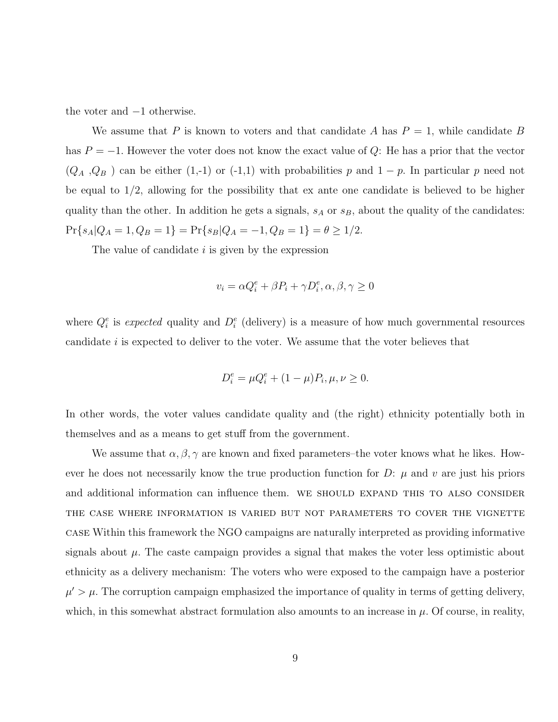the voter and −1 otherwise.

We assume that P is known to voters and that candidate A has  $P = 1$ , while candidate B has  $P = -1$ . However the voter does not know the exact value of Q: He has a prior that the vector  $(Q_A, Q_B)$  can be either (1,-1) or (-1,1) with probabilities p and 1 − p. In particular p need not be equal to 1/2, allowing for the possibility that ex ante one candidate is believed to be higher quality than the other. In addition he gets a signals,  $s_A$  or  $s_B$ , about the quality of the candidates:  $Pr{s_A|Q_A = 1, Q_B = 1} = Pr{s_B|Q_A = -1, Q_B = 1} = \theta \ge 1/2.$ 

The value of candidate  $i$  is given by the expression

$$
v_i = \alpha Q_i^e + \beta P_i + \gamma D_i^e, \alpha, \beta, \gamma \ge 0
$$

where  $Q_i^e$  is expected quality and  $D_i^e$  (delivery) is a measure of how much governmental resources candidate i is expected to deliver to the voter. We assume that the voter believes that

$$
D_i^e = \mu Q_i^e + (1 - \mu) P_i, \mu, \nu \ge 0.
$$

In other words, the voter values candidate quality and (the right) ethnicity potentially both in themselves and as a means to get stuff from the government.

We assume that  $\alpha, \beta, \gamma$  are known and fixed parameters–the voter knows what he likes. However he does not necessarily know the true production function for  $D: \mu$  and v are just his priors and additional information can influence them. WE SHOULD EXPAND THIS TO ALSO CONSIDER the case where information is varied but not parameters to cover the vignette case Within this framework the NGO campaigns are naturally interpreted as providing informative signals about  $\mu$ . The caste campaign provides a signal that makes the voter less optimistic about ethnicity as a delivery mechanism: The voters who were exposed to the campaign have a posterior  $\mu' > \mu$ . The corruption campaign emphasized the importance of quality in terms of getting delivery, which, in this somewhat abstract formulation also amounts to an increase in  $\mu$ . Of course, in reality,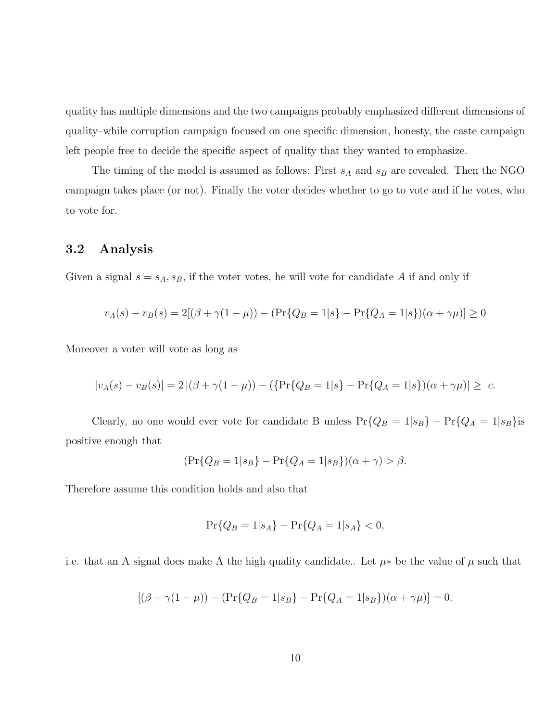quality has multiple dimensions and the two campaigns probably emphasized different dimensions of quality–while corruption campaign focused on one specific dimension, honesty, the caste campaign left people free to decide the specific aspect of quality that they wanted to emphasize.

The timing of the model is assumed as follows: First  $s_A$  and  $s_B$  are revealed. Then the NGO campaign takes place (or not). Finally the voter decides whether to go to vote and if he votes, who to vote for.

### 3.2 Analysis

Given a signal  $s = s_A, s_B$ , if the voter votes, he will vote for candidate A if and only if

$$
v_A(s) - v_B(s) = 2[(\beta + \gamma(1 - \mu)) - (\Pr{Q_B = 1|s} - \Pr{Q_A = 1|s})(\alpha + \gamma\mu)] \ge 0
$$

Moreover a voter will vote as long as

$$
|v_A(s) - v_B(s)| = 2 |(\beta + \gamma(1 - \mu)) - (\{\Pr\{Q_B = 1 | s\} - \Pr\{Q_A = 1 | s\}) (\alpha + \gamma \mu)| \geq c.
$$

Clearly, no one would ever vote for candidate B unless  $Pr\{Q_B = 1|s_B\} - Pr\{Q_A = 1|s_B\}$ is positive enough that

$$
(\Pr\{Q_B = 1|s_B\} - \Pr\{Q_A = 1|s_B\})(\alpha + \gamma) > \beta.
$$

Therefore assume this condition holds and also that

$$
\Pr\{Q_B = 1|s_A\} - \Pr\{Q_A = 1|s_A\} < 0,
$$

i.e. that an A signal does make A the high quality candidate.. Let  $\mu^*$  be the value of  $\mu$  such that

$$
[(\beta + \gamma(1 - \mu)) - (\Pr{Q_B = 1 | s_B} - \Pr{Q_A = 1 | s_B}) (\alpha + \gamma \mu)] = 0.
$$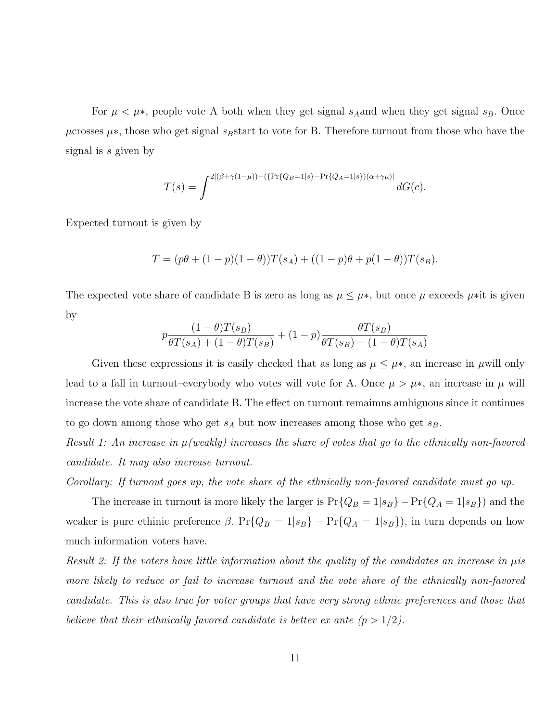For  $\mu < \mu^*$ , people vote A both when they get signal s<sub>A</sub> and when they get signal s<sub>B</sub>. Once  $\mu$ crosses  $\mu$ <sup>\*</sup>, those who get signal s<sub>B</sub>start to vote for B. Therefore turnout from those who have the signal is s given by

$$
T(s) = \int^{2\left[ (\beta + \gamma(1-\mu)) - (\{ \Pr\{Q_B = 1 | s\} - \Pr\{Q_A = 1 | s\}) (\alpha + \gamma \mu) \right]} dG(c).
$$

Expected turnout is given by

$$
T = (p\theta + (1-p)(1-\theta))T(s_A) + ((1-p)\theta + p(1-\theta))T(s_B).
$$

The expected vote share of candidate B is zero as long as  $\mu \leq \mu^*$ , but once  $\mu$  exceeds  $\mu^*$ it is given by

$$
p \frac{(1-\theta)T(s_B)}{\theta T(s_A) + (1-\theta)T(s_B)} + (1-p) \frac{\theta T(s_B)}{\theta T(s_B) + (1-\theta)T(s_A)}
$$

Given these expressions it is easily checked that as long as  $\mu \leq \mu^*$ , an increase in  $\mu$ will only lead to a fall in turnout–everybody who votes will vote for A. Once  $\mu > \mu^*$ , an increase in  $\mu$  will increase the vote share of candidate B. The effect on turnout remaimns ambiguous since it continues to go down among those who get  $s_A$  but now increases among those who get  $s_B$ .

Result 1: An increase in  $\mu$  (weakly) increases the share of votes that go to the ethnically non-favored candidate. It may also increase turnout.

Corollary: If turnout goes up, the vote share of the ethnically non-favored candidate must go up.

The increase in turnout is more likely the larger is  $Pr\{Q_B = 1|s_B\} - Pr\{Q_A = 1|s_B\}$  and the weaker is pure ethinic preference  $\beta$ . Pr{ $Q_B = 1|s_B$ } – Pr{ $Q_A = 1|s_B$ }, in turn depends on how much information voters have.

Result 2: If the voters have little information about the quality of the candidates an increase in  $\mu$ is more likely to reduce or fail to increase turnout and the vote share of the ethnically non-favored candidate. This is also true for voter groups that have very strong ethnic preferences and those that believe that their ethnically favored candidate is better ex ante  $(p > 1/2)$ .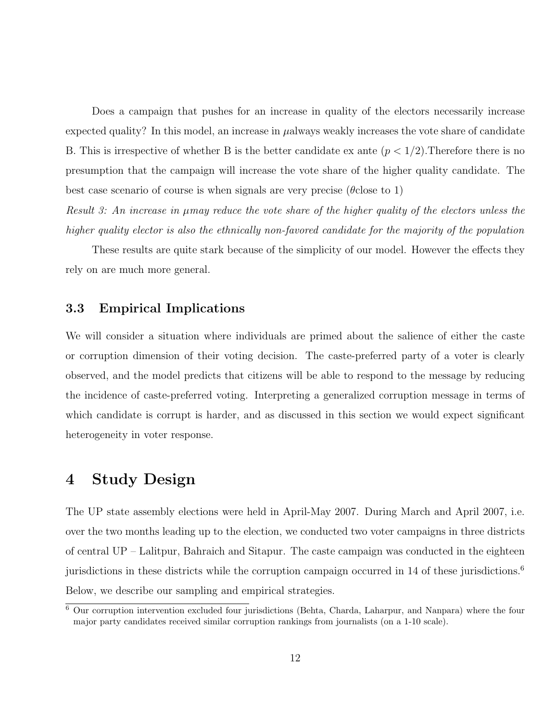Does a campaign that pushes for an increase in quality of the electors necessarily increase expected quality? In this model, an increase in  $\mu$ always weakly increases the vote share of candidate B. This is irrespective of whether B is the better candidate ex ante  $(p < 1/2)$ . Therefore there is no presumption that the campaign will increase the vote share of the higher quality candidate. The best case scenario of course is when signals are very precise ( $\theta$ close to 1)

Result 3: An increase in  $\mu$ may reduce the vote share of the higher quality of the electors unless the higher quality elector is also the ethnically non-favored candidate for the majority of the population

These results are quite stark because of the simplicity of our model. However the effects they rely on are much more general.

#### 3.3 Empirical Implications

We will consider a situation where individuals are primed about the salience of either the caste or corruption dimension of their voting decision. The caste-preferred party of a voter is clearly observed, and the model predicts that citizens will be able to respond to the message by reducing the incidence of caste-preferred voting. Interpreting a generalized corruption message in terms of which candidate is corrupt is harder, and as discussed in this section we would expect significant heterogeneity in voter response.

# 4 Study Design

The UP state assembly elections were held in April-May 2007. During March and April 2007, i.e. over the two months leading up to the election, we conducted two voter campaigns in three districts of central UP – Lalitpur, Bahraich and Sitapur. The caste campaign was conducted in the eighteen jurisdictions in these districts while the corruption campaign occurred in 14 of these jurisdictions.<sup>6</sup> Below, we describe our sampling and empirical strategies.

<sup>6</sup> Our corruption intervention excluded four jurisdictions (Behta, Charda, Laharpur, and Nanpara) where the four major party candidates received similar corruption rankings from journalists (on a 1-10 scale).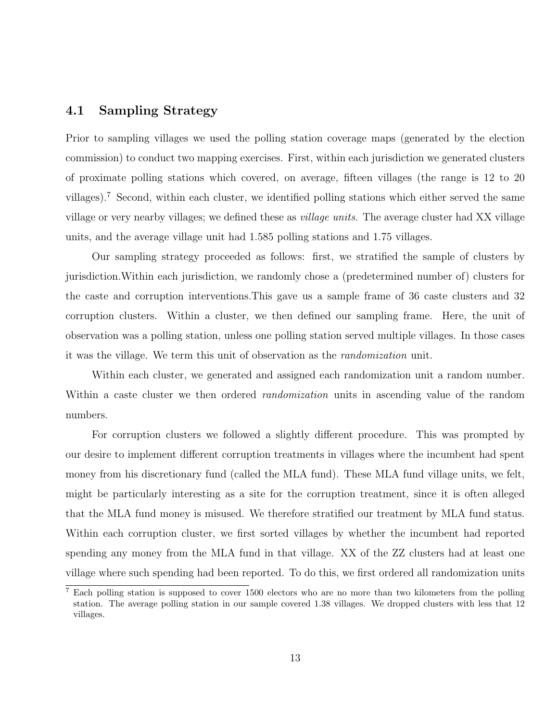### 4.1 Sampling Strategy

Prior to sampling villages we used the polling station coverage maps (generated by the election commission) to conduct two mapping exercises. First, within each jurisdiction we generated clusters of proximate polling stations which covered, on average, fifteen villages (the range is 12 to 20 villages).<sup>7</sup> Second, within each cluster, we identified polling stations which either served the same village or very nearby villages; we defined these as village units. The average cluster had XX village units, and the average village unit had 1.585 polling stations and 1.75 villages.

Our sampling strategy proceeded as follows: first, we stratified the sample of clusters by jurisdiction.Within each jurisdiction, we randomly chose a (predetermined number of) clusters for the caste and corruption interventions.This gave us a sample frame of 36 caste clusters and 32 corruption clusters. Within a cluster, we then defined our sampling frame. Here, the unit of observation was a polling station, unless one polling station served multiple villages. In those cases it was the village. We term this unit of observation as the randomization unit.

Within each cluster, we generated and assigned each randomization unit a random number. Within a caste cluster we then ordered *randomization* units in ascending value of the random numbers.

For corruption clusters we followed a slightly different procedure. This was prompted by our desire to implement different corruption treatments in villages where the incumbent had spent money from his discretionary fund (called the MLA fund). These MLA fund village units, we felt, might be particularly interesting as a site for the corruption treatment, since it is often alleged that the MLA fund money is misused. We therefore stratified our treatment by MLA fund status. Within each corruption cluster, we first sorted villages by whether the incumbent had reported spending any money from the MLA fund in that village. XX of the ZZ clusters had at least one village where such spending had been reported. To do this, we first ordered all randomization units

<sup>7</sup> Each polling station is supposed to cover 1500 electors who are no more than two kilometers from the polling station. The average polling station in our sample covered 1.38 villages. We dropped clusters with less that 12 villages.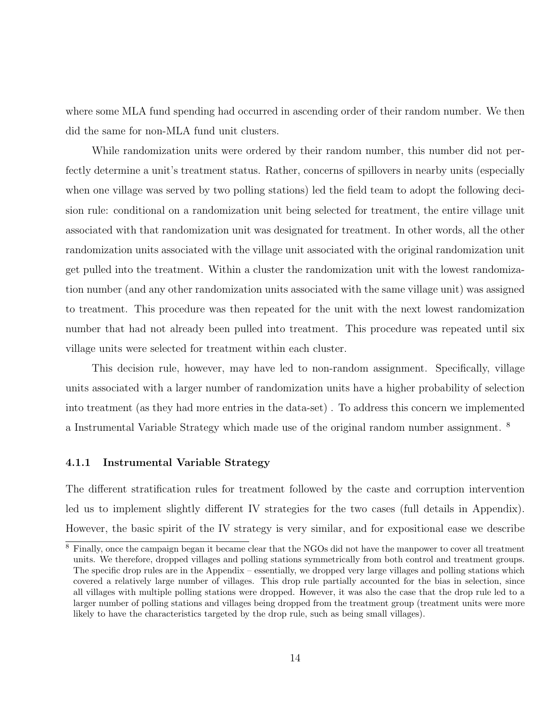where some MLA fund spending had occurred in ascending order of their random number. We then did the same for non-MLA fund unit clusters.

While randomization units were ordered by their random number, this number did not perfectly determine a unit's treatment status. Rather, concerns of spillovers in nearby units (especially when one village was served by two polling stations) led the field team to adopt the following decision rule: conditional on a randomization unit being selected for treatment, the entire village unit associated with that randomization unit was designated for treatment. In other words, all the other randomization units associated with the village unit associated with the original randomization unit get pulled into the treatment. Within a cluster the randomization unit with the lowest randomization number (and any other randomization units associated with the same village unit) was assigned to treatment. This procedure was then repeated for the unit with the next lowest randomization number that had not already been pulled into treatment. This procedure was repeated until six village units were selected for treatment within each cluster.

This decision rule, however, may have led to non-random assignment. Specifically, village units associated with a larger number of randomization units have a higher probability of selection into treatment (as they had more entries in the data-set) . To address this concern we implemented a Instrumental Variable Strategy which made use of the original random number assignment. <sup>8</sup>

#### 4.1.1 Instrumental Variable Strategy

The different stratification rules for treatment followed by the caste and corruption intervention led us to implement slightly different IV strategies for the two cases (full details in Appendix). However, the basic spirit of the IV strategy is very similar, and for expositional ease we describe

<sup>8</sup> Finally, once the campaign began it became clear that the NGOs did not have the manpower to cover all treatment units. We therefore, dropped villages and polling stations symmetrically from both control and treatment groups. The specific drop rules are in the Appendix – essentially, we dropped very large villages and polling stations which covered a relatively large number of villages. This drop rule partially accounted for the bias in selection, since all villages with multiple polling stations were dropped. However, it was also the case that the drop rule led to a larger number of polling stations and villages being dropped from the treatment group (treatment units were more likely to have the characteristics targeted by the drop rule, such as being small villages).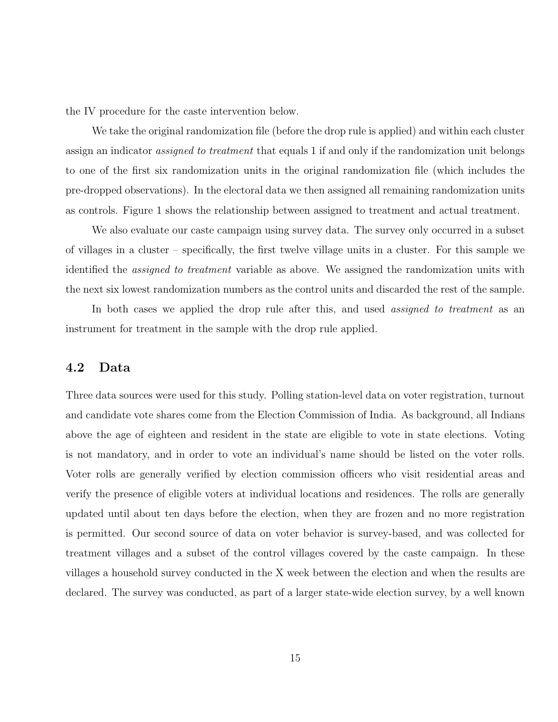the IV procedure for the caste intervention below.

We take the original randomization file (before the drop rule is applied) and within each cluster assign an indicator assigned to treatment that equals 1 if and only if the randomization unit belongs to one of the first six randomization units in the original randomization file (which includes the pre-dropped observations). In the electoral data we then assigned all remaining randomization units as controls. Figure 1 shows the relationship between assigned to treatment and actual treatment.

We also evaluate our caste campaign using survey data. The survey only occurred in a subset of villages in a cluster – specifically, the first twelve village units in a cluster. For this sample we identified the *assigned to treatment* variable as above. We assigned the randomization units with the next six lowest randomization numbers as the control units and discarded the rest of the sample.

In both cases we applied the drop rule after this, and used *assigned to treatment* as an instrument for treatment in the sample with the drop rule applied.

### 4.2 Data

Three data sources were used for this study. Polling station-level data on voter registration, turnout and candidate vote shares come from the Election Commission of India. As background, all Indians above the age of eighteen and resident in the state are eligible to vote in state elections. Voting is not mandatory, and in order to vote an individual's name should be listed on the voter rolls. Voter rolls are generally verified by election commission officers who visit residential areas and verify the presence of eligible voters at individual locations and residences. The rolls are generally updated until about ten days before the election, when they are frozen and no more registration is permitted. Our second source of data on voter behavior is survey-based, and was collected for treatment villages and a subset of the control villages covered by the caste campaign. In these villages a household survey conducted in the X week between the election and when the results are declared. The survey was conducted, as part of a larger state-wide election survey, by a well known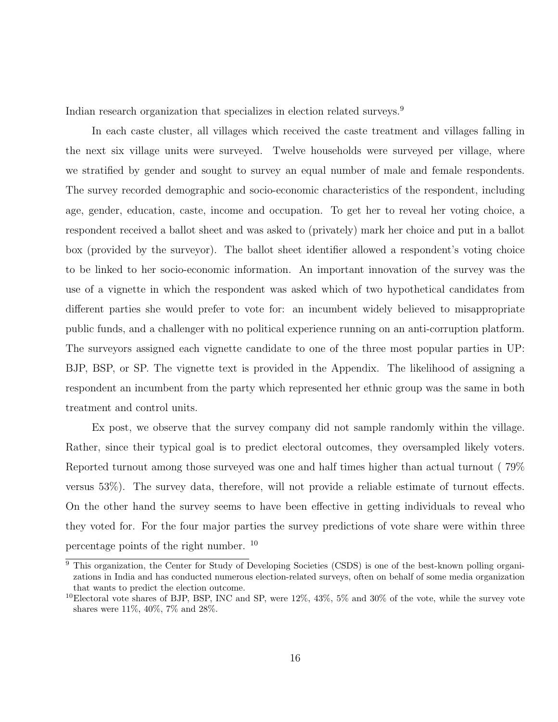Indian research organization that specializes in election related surveys.<sup>9</sup>

In each caste cluster, all villages which received the caste treatment and villages falling in the next six village units were surveyed. Twelve households were surveyed per village, where we stratified by gender and sought to survey an equal number of male and female respondents. The survey recorded demographic and socio-economic characteristics of the respondent, including age, gender, education, caste, income and occupation. To get her to reveal her voting choice, a respondent received a ballot sheet and was asked to (privately) mark her choice and put in a ballot box (provided by the surveyor). The ballot sheet identifier allowed a respondent's voting choice to be linked to her socio-economic information. An important innovation of the survey was the use of a vignette in which the respondent was asked which of two hypothetical candidates from different parties she would prefer to vote for: an incumbent widely believed to misappropriate public funds, and a challenger with no political experience running on an anti-corruption platform. The surveyors assigned each vignette candidate to one of the three most popular parties in UP: BJP, BSP, or SP. The vignette text is provided in the Appendix. The likelihood of assigning a respondent an incumbent from the party which represented her ethnic group was the same in both treatment and control units.

Ex post, we observe that the survey company did not sample randomly within the village. Rather, since their typical goal is to predict electoral outcomes, they oversampled likely voters. Reported turnout among those surveyed was one and half times higher than actual turnout ( 79% versus 53%). The survey data, therefore, will not provide a reliable estimate of turnout effects. On the other hand the survey seems to have been effective in getting individuals to reveal who they voted for. For the four major parties the survey predictions of vote share were within three percentage points of the right number. <sup>10</sup>

<sup>&</sup>lt;sup>9</sup> This organization, the Center for Study of Developing Societies (CSDS) is one of the best-known polling organizations in India and has conducted numerous election-related surveys, often on behalf of some media organization that wants to predict the election outcome.

 $10$ Electoral vote shares of BJP, BSP, INC and SP, were  $12\%$ ,  $43\%$ ,  $5\%$  and  $30\%$  of the vote, while the survey vote shares were 11%, 40%, 7% and 28%.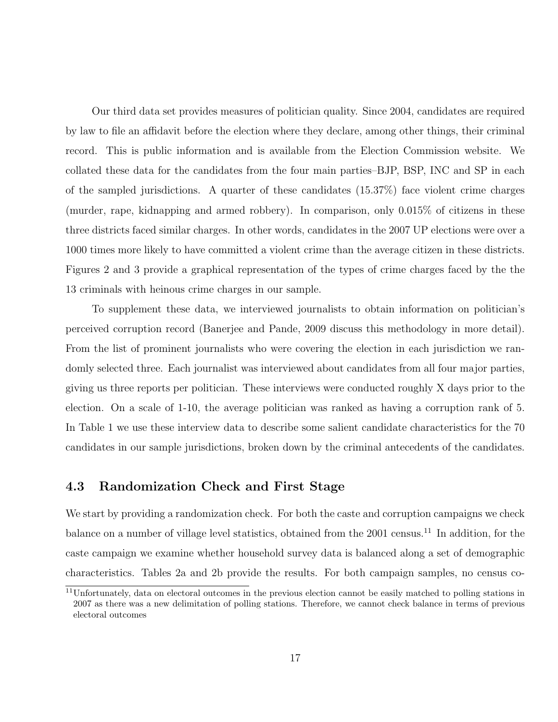Our third data set provides measures of politician quality. Since 2004, candidates are required by law to file an affidavit before the election where they declare, among other things, their criminal record. This is public information and is available from the Election Commission website. We collated these data for the candidates from the four main parties–BJP, BSP, INC and SP in each of the sampled jurisdictions. A quarter of these candidates (15.37%) face violent crime charges (murder, rape, kidnapping and armed robbery). In comparison, only 0.015% of citizens in these three districts faced similar charges. In other words, candidates in the 2007 UP elections were over a 1000 times more likely to have committed a violent crime than the average citizen in these districts. Figures 2 and 3 provide a graphical representation of the types of crime charges faced by the the 13 criminals with heinous crime charges in our sample.

To supplement these data, we interviewed journalists to obtain information on politician's perceived corruption record (Banerjee and Pande, 2009 discuss this methodology in more detail). From the list of prominent journalists who were covering the election in each jurisdiction we randomly selected three. Each journalist was interviewed about candidates from all four major parties, giving us three reports per politician. These interviews were conducted roughly X days prior to the election. On a scale of 1-10, the average politician was ranked as having a corruption rank of 5. In Table 1 we use these interview data to describe some salient candidate characteristics for the 70 candidates in our sample jurisdictions, broken down by the criminal antecedents of the candidates.

### 4.3 Randomization Check and First Stage

We start by providing a randomization check. For both the caste and corruption campaigns we check balance on a number of village level statistics, obtained from the 2001 census.<sup>11</sup> In addition, for the caste campaign we examine whether household survey data is balanced along a set of demographic characteristics. Tables 2a and 2b provide the results. For both campaign samples, no census co-

<sup>11</sup>Unfortunately, data on electoral outcomes in the previous election cannot be easily matched to polling stations in 2007 as there was a new delimitation of polling stations. Therefore, we cannot check balance in terms of previous electoral outcomes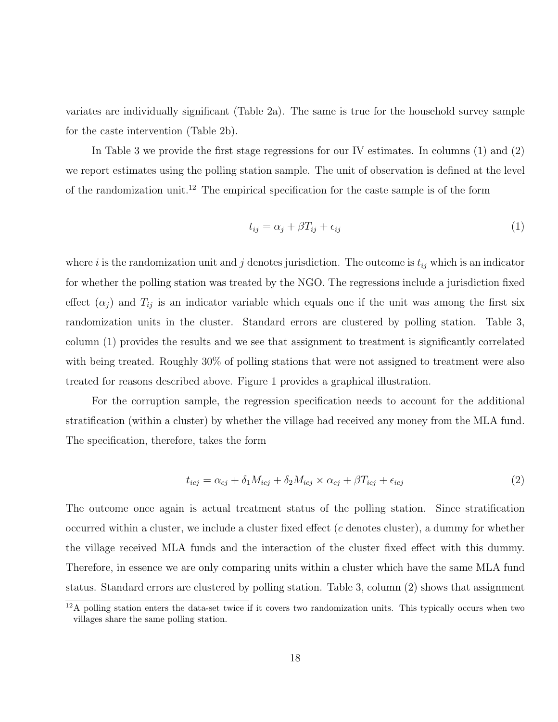variates are individually significant (Table 2a). The same is true for the household survey sample for the caste intervention (Table 2b).

In Table 3 we provide the first stage regressions for our IV estimates. In columns (1) and (2) we report estimates using the polling station sample. The unit of observation is defined at the level of the randomization unit.<sup>12</sup> The empirical specification for the caste sample is of the form

$$
t_{ij} = \alpha_j + \beta T_{ij} + \epsilon_{ij} \tag{1}
$$

where i is the randomization unit and j denotes jurisdiction. The outcome is  $t_{ij}$  which is an indicator for whether the polling station was treated by the NGO. The regressions include a jurisdiction fixed effect  $(\alpha_j)$  and  $T_{ij}$  is an indicator variable which equals one if the unit was among the first six randomization units in the cluster. Standard errors are clustered by polling station. Table 3, column (1) provides the results and we see that assignment to treatment is significantly correlated with being treated. Roughly 30% of polling stations that were not assigned to treatment were also treated for reasons described above. Figure 1 provides a graphical illustration.

For the corruption sample, the regression specification needs to account for the additional stratification (within a cluster) by whether the village had received any money from the MLA fund. The specification, therefore, takes the form

$$
t_{icj} = \alpha_{cj} + \delta_1 M_{icj} + \delta_2 M_{icj} \times \alpha_{cj} + \beta T_{icj} + \epsilon_{icj}
$$
\n
$$
\tag{2}
$$

The outcome once again is actual treatment status of the polling station. Since stratification occurred within a cluster, we include a cluster fixed effect  $(c$  denotes cluster), a dummy for whether the village received MLA funds and the interaction of the cluster fixed effect with this dummy. Therefore, in essence we are only comparing units within a cluster which have the same MLA fund status. Standard errors are clustered by polling station. Table 3, column (2) shows that assignment

 $12A$  polling station enters the data-set twice if it covers two randomization units. This typically occurs when two villages share the same polling station.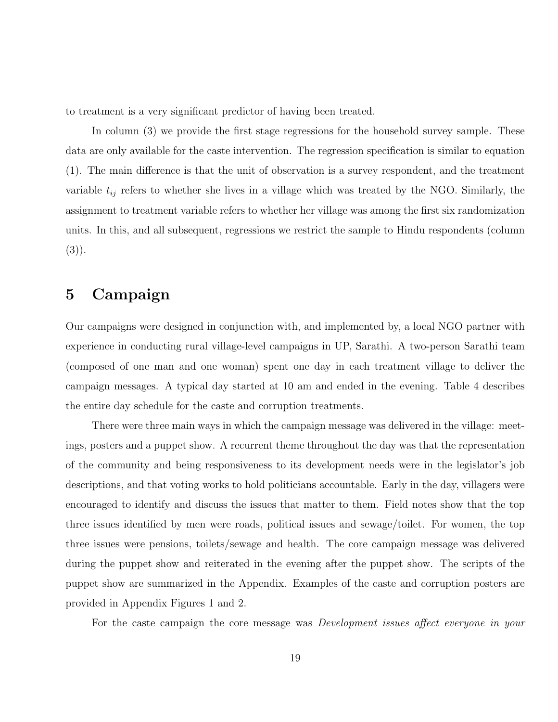to treatment is a very significant predictor of having been treated.

In column (3) we provide the first stage regressions for the household survey sample. These data are only available for the caste intervention. The regression specification is similar to equation (1). The main difference is that the unit of observation is a survey respondent, and the treatment variable  $t_{ij}$  refers to whether she lives in a village which was treated by the NGO. Similarly, the assignment to treatment variable refers to whether her village was among the first six randomization units. In this, and all subsequent, regressions we restrict the sample to Hindu respondents (column (3)).

# 5 Campaign

Our campaigns were designed in conjunction with, and implemented by, a local NGO partner with experience in conducting rural village-level campaigns in UP, Sarathi. A two-person Sarathi team (composed of one man and one woman) spent one day in each treatment village to deliver the campaign messages. A typical day started at 10 am and ended in the evening. Table 4 describes the entire day schedule for the caste and corruption treatments.

There were three main ways in which the campaign message was delivered in the village: meetings, posters and a puppet show. A recurrent theme throughout the day was that the representation of the community and being responsiveness to its development needs were in the legislator's job descriptions, and that voting works to hold politicians accountable. Early in the day, villagers were encouraged to identify and discuss the issues that matter to them. Field notes show that the top three issues identified by men were roads, political issues and sewage/toilet. For women, the top three issues were pensions, toilets/sewage and health. The core campaign message was delivered during the puppet show and reiterated in the evening after the puppet show. The scripts of the puppet show are summarized in the Appendix. Examples of the caste and corruption posters are provided in Appendix Figures 1 and 2.

For the caste campaign the core message was *Development issues affect everyone in your*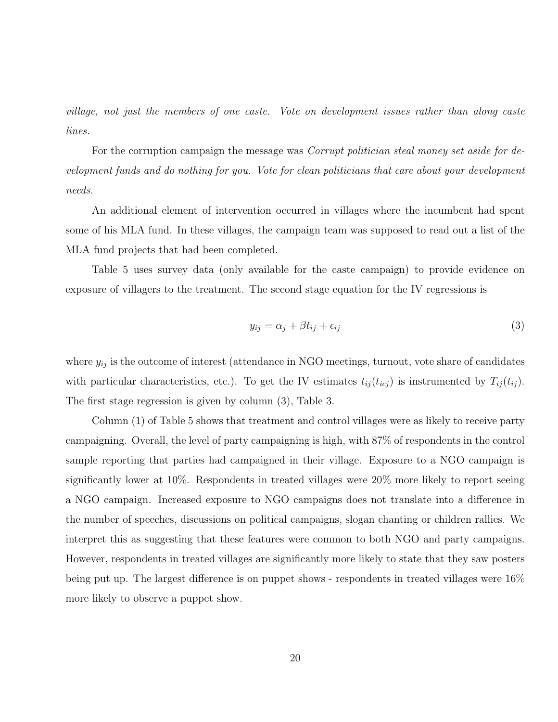village, not just the members of one caste. Vote on development issues rather than along caste lines.

For the corruption campaign the message was *Corrupt politician steal money set aside for de*velopment funds and do nothing for you. Vote for clean politicians that care about your development needs.

An additional element of intervention occurred in villages where the incumbent had spent some of his MLA fund. In these villages, the campaign team was supposed to read out a list of the MLA fund projects that had been completed.

Table 5 uses survey data (only available for the caste campaign) to provide evidence on exposure of villagers to the treatment. The second stage equation for the IV regressions is

$$
y_{ij} = \alpha_j + \beta t_{ij} + \epsilon_{ij} \tag{3}
$$

where  $y_{ij}$  is the outcome of interest (attendance in NGO meetings, turnout, vote share of candidates with particular characteristics, etc.). To get the IV estimates  $t_{ij}(t_{icj})$  is instrumented by  $T_{ij}(t_{ij})$ . The first stage regression is given by column (3), Table 3.

Column (1) of Table 5 shows that treatment and control villages were as likely to receive party campaigning. Overall, the level of party campaigning is high, with 87% of respondents in the control sample reporting that parties had campaigned in their village. Exposure to a NGO campaign is significantly lower at 10%. Respondents in treated villages were 20% more likely to report seeing a NGO campaign. Increased exposure to NGO campaigns does not translate into a difference in the number of speeches, discussions on political campaigns, slogan chanting or children rallies. We interpret this as suggesting that these features were common to both NGO and party campaigns. However, respondents in treated villages are significantly more likely to state that they saw posters being put up. The largest difference is on puppet shows - respondents in treated villages were 16% more likely to observe a puppet show.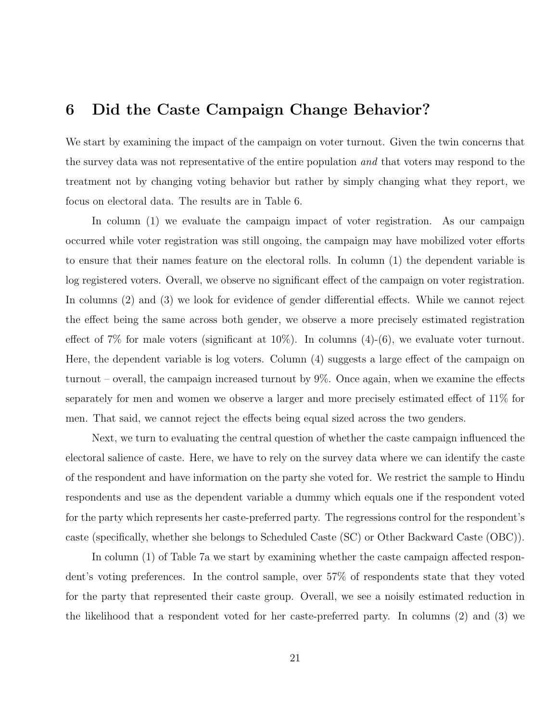# 6 Did the Caste Campaign Change Behavior?

We start by examining the impact of the campaign on voter turnout. Given the twin concerns that the survey data was not representative of the entire population and that voters may respond to the treatment not by changing voting behavior but rather by simply changing what they report, we focus on electoral data. The results are in Table 6.

In column (1) we evaluate the campaign impact of voter registration. As our campaign occurred while voter registration was still ongoing, the campaign may have mobilized voter efforts to ensure that their names feature on the electoral rolls. In column (1) the dependent variable is log registered voters. Overall, we observe no significant effect of the campaign on voter registration. In columns (2) and (3) we look for evidence of gender differential effects. While we cannot reject the effect being the same across both gender, we observe a more precisely estimated registration effect of 7% for male voters (significant at  $10\%$ ). In columns  $(4)-(6)$ , we evaluate voter turnout. Here, the dependent variable is log voters. Column (4) suggests a large effect of the campaign on turnout – overall, the campaign increased turnout by 9%. Once again, when we examine the effects separately for men and women we observe a larger and more precisely estimated effect of 11% for men. That said, we cannot reject the effects being equal sized across the two genders.

Next, we turn to evaluating the central question of whether the caste campaign influenced the electoral salience of caste. Here, we have to rely on the survey data where we can identify the caste of the respondent and have information on the party she voted for. We restrict the sample to Hindu respondents and use as the dependent variable a dummy which equals one if the respondent voted for the party which represents her caste-preferred party. The regressions control for the respondent's caste (specifically, whether she belongs to Scheduled Caste (SC) or Other Backward Caste (OBC)).

In column (1) of Table 7a we start by examining whether the caste campaign affected respondent's voting preferences. In the control sample, over 57% of respondents state that they voted for the party that represented their caste group. Overall, we see a noisily estimated reduction in the likelihood that a respondent voted for her caste-preferred party. In columns (2) and (3) we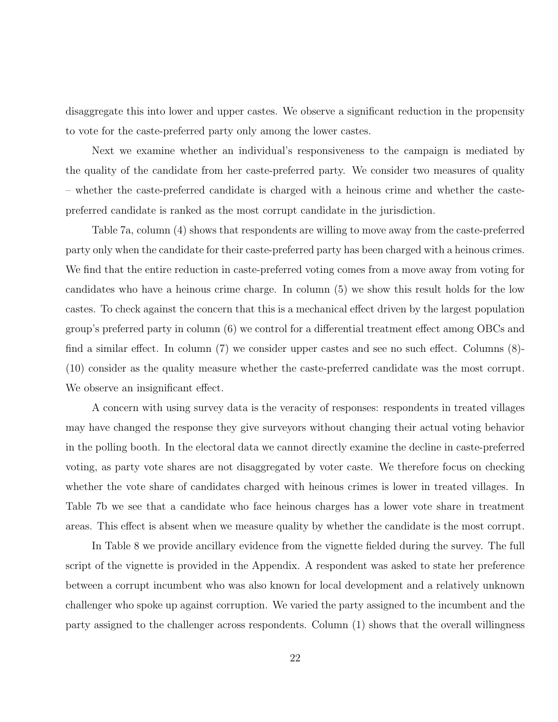disaggregate this into lower and upper castes. We observe a significant reduction in the propensity to vote for the caste-preferred party only among the lower castes.

Next we examine whether an individual's responsiveness to the campaign is mediated by the quality of the candidate from her caste-preferred party. We consider two measures of quality – whether the caste-preferred candidate is charged with a heinous crime and whether the castepreferred candidate is ranked as the most corrupt candidate in the jurisdiction.

Table 7a, column (4) shows that respondents are willing to move away from the caste-preferred party only when the candidate for their caste-preferred party has been charged with a heinous crimes. We find that the entire reduction in caste-preferred voting comes from a move away from voting for candidates who have a heinous crime charge. In column (5) we show this result holds for the low castes. To check against the concern that this is a mechanical effect driven by the largest population group's preferred party in column (6) we control for a differential treatment effect among OBCs and find a similar effect. In column (7) we consider upper castes and see no such effect. Columns (8)- (10) consider as the quality measure whether the caste-preferred candidate was the most corrupt. We observe an insignificant effect.

A concern with using survey data is the veracity of responses: respondents in treated villages may have changed the response they give surveyors without changing their actual voting behavior in the polling booth. In the electoral data we cannot directly examine the decline in caste-preferred voting, as party vote shares are not disaggregated by voter caste. We therefore focus on checking whether the vote share of candidates charged with heinous crimes is lower in treated villages. In Table 7b we see that a candidate who face heinous charges has a lower vote share in treatment areas. This effect is absent when we measure quality by whether the candidate is the most corrupt.

In Table 8 we provide ancillary evidence from the vignette fielded during the survey. The full script of the vignette is provided in the Appendix. A respondent was asked to state her preference between a corrupt incumbent who was also known for local development and a relatively unknown challenger who spoke up against corruption. We varied the party assigned to the incumbent and the party assigned to the challenger across respondents. Column (1) shows that the overall willingness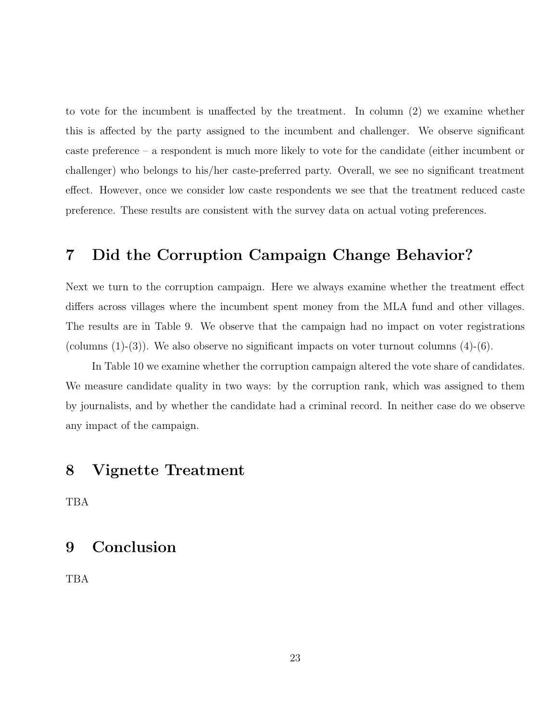to vote for the incumbent is unaffected by the treatment. In column (2) we examine whether this is affected by the party assigned to the incumbent and challenger. We observe significant caste preference – a respondent is much more likely to vote for the candidate (either incumbent or challenger) who belongs to his/her caste-preferred party. Overall, we see no significant treatment effect. However, once we consider low caste respondents we see that the treatment reduced caste preference. These results are consistent with the survey data on actual voting preferences.

# 7 Did the Corruption Campaign Change Behavior?

Next we turn to the corruption campaign. Here we always examine whether the treatment effect differs across villages where the incumbent spent money from the MLA fund and other villages. The results are in Table 9. We observe that the campaign had no impact on voter registrations (columns  $(1)-(3)$ ). We also observe no significant impacts on voter turnout columns  $(4)-(6)$ .

In Table 10 we examine whether the corruption campaign altered the vote share of candidates. We measure candidate quality in two ways: by the corruption rank, which was assigned to them by journalists, and by whether the candidate had a criminal record. In neither case do we observe any impact of the campaign.

# 8 Vignette Treatment

TBA

# 9 Conclusion

TBA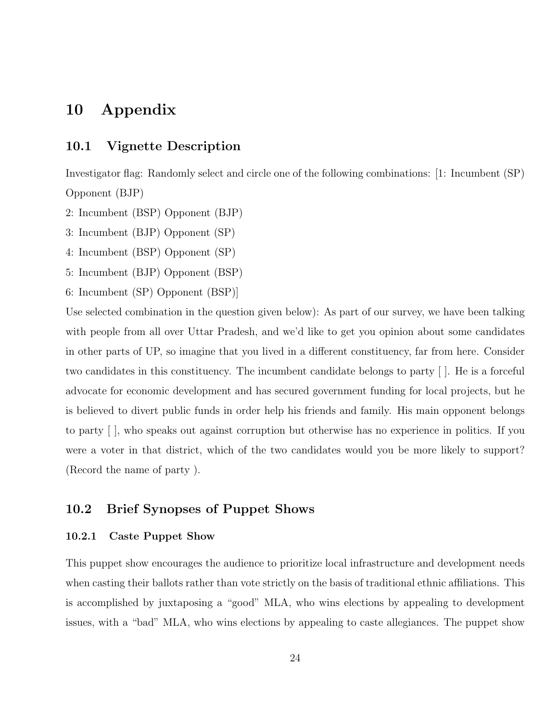# 10 Appendix

### 10.1 Vignette Description

Investigator flag: Randomly select and circle one of the following combinations: [1: Incumbent (SP) Opponent (BJP)

- 2: Incumbent (BSP) Opponent (BJP)
- 3: Incumbent (BJP) Opponent (SP)
- 4: Incumbent (BSP) Opponent (SP)
- 5: Incumbent (BJP) Opponent (BSP)
- 6: Incumbent (SP) Opponent (BSP)]

Use selected combination in the question given below): As part of our survey, we have been talking with people from all over Uttar Pradesh, and we'd like to get you opinion about some candidates in other parts of UP, so imagine that you lived in a different constituency, far from here. Consider two candidates in this constituency. The incumbent candidate belongs to party [ ]. He is a forceful advocate for economic development and has secured government funding for local projects, but he is believed to divert public funds in order help his friends and family. His main opponent belongs to party [ ], who speaks out against corruption but otherwise has no experience in politics. If you were a voter in that district, which of the two candidates would you be more likely to support? (Record the name of party ).

#### 10.2 Brief Synopses of Puppet Shows

#### 10.2.1 Caste Puppet Show

This puppet show encourages the audience to prioritize local infrastructure and development needs when casting their ballots rather than vote strictly on the basis of traditional ethnic affiliations. This is accomplished by juxtaposing a "good" MLA, who wins elections by appealing to development issues, with a "bad" MLA, who wins elections by appealing to caste allegiances. The puppet show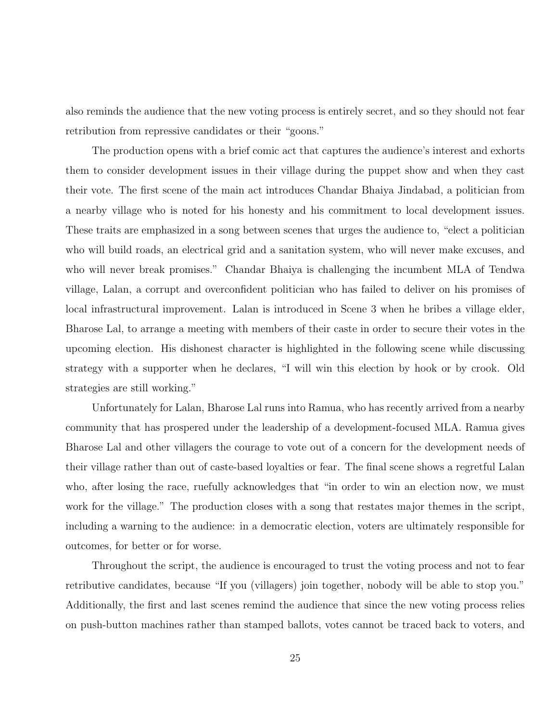also reminds the audience that the new voting process is entirely secret, and so they should not fear retribution from repressive candidates or their "goons."

The production opens with a brief comic act that captures the audience's interest and exhorts them to consider development issues in their village during the puppet show and when they cast their vote. The first scene of the main act introduces Chandar Bhaiya Jindabad, a politician from a nearby village who is noted for his honesty and his commitment to local development issues. These traits are emphasized in a song between scenes that urges the audience to, "elect a politician who will build roads, an electrical grid and a sanitation system, who will never make excuses, and who will never break promises." Chandar Bhaiya is challenging the incumbent MLA of Tendwa village, Lalan, a corrupt and overconfident politician who has failed to deliver on his promises of local infrastructural improvement. Lalan is introduced in Scene 3 when he bribes a village elder, Bharose Lal, to arrange a meeting with members of their caste in order to secure their votes in the upcoming election. His dishonest character is highlighted in the following scene while discussing strategy with a supporter when he declares, "I will win this election by hook or by crook. Old strategies are still working."

Unfortunately for Lalan, Bharose Lal runs into Ramua, who has recently arrived from a nearby community that has prospered under the leadership of a development-focused MLA. Ramua gives Bharose Lal and other villagers the courage to vote out of a concern for the development needs of their village rather than out of caste-based loyalties or fear. The final scene shows a regretful Lalan who, after losing the race, ruefully acknowledges that "in order to win an election now, we must work for the village." The production closes with a song that restates major themes in the script, including a warning to the audience: in a democratic election, voters are ultimately responsible for outcomes, for better or for worse.

Throughout the script, the audience is encouraged to trust the voting process and not to fear retributive candidates, because "If you (villagers) join together, nobody will be able to stop you." Additionally, the first and last scenes remind the audience that since the new voting process relies on push-button machines rather than stamped ballots, votes cannot be traced back to voters, and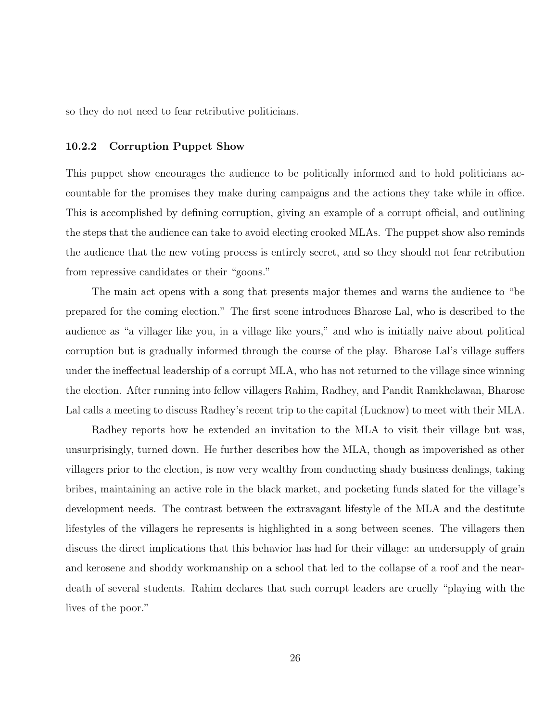so they do not need to fear retributive politicians.

#### 10.2.2 Corruption Puppet Show

This puppet show encourages the audience to be politically informed and to hold politicians accountable for the promises they make during campaigns and the actions they take while in office. This is accomplished by defining corruption, giving an example of a corrupt official, and outlining the steps that the audience can take to avoid electing crooked MLAs. The puppet show also reminds the audience that the new voting process is entirely secret, and so they should not fear retribution from repressive candidates or their "goons."

The main act opens with a song that presents major themes and warns the audience to "be prepared for the coming election." The first scene introduces Bharose Lal, who is described to the audience as "a villager like you, in a village like yours," and who is initially naive about political corruption but is gradually informed through the course of the play. Bharose Lal's village suffers under the ineffectual leadership of a corrupt MLA, who has not returned to the village since winning the election. After running into fellow villagers Rahim, Radhey, and Pandit Ramkhelawan, Bharose Lal calls a meeting to discuss Radhey's recent trip to the capital (Lucknow) to meet with their MLA.

Radhey reports how he extended an invitation to the MLA to visit their village but was, unsurprisingly, turned down. He further describes how the MLA, though as impoverished as other villagers prior to the election, is now very wealthy from conducting shady business dealings, taking bribes, maintaining an active role in the black market, and pocketing funds slated for the village's development needs. The contrast between the extravagant lifestyle of the MLA and the destitute lifestyles of the villagers he represents is highlighted in a song between scenes. The villagers then discuss the direct implications that this behavior has had for their village: an undersupply of grain and kerosene and shoddy workmanship on a school that led to the collapse of a roof and the neardeath of several students. Rahim declares that such corrupt leaders are cruelly "playing with the lives of the poor."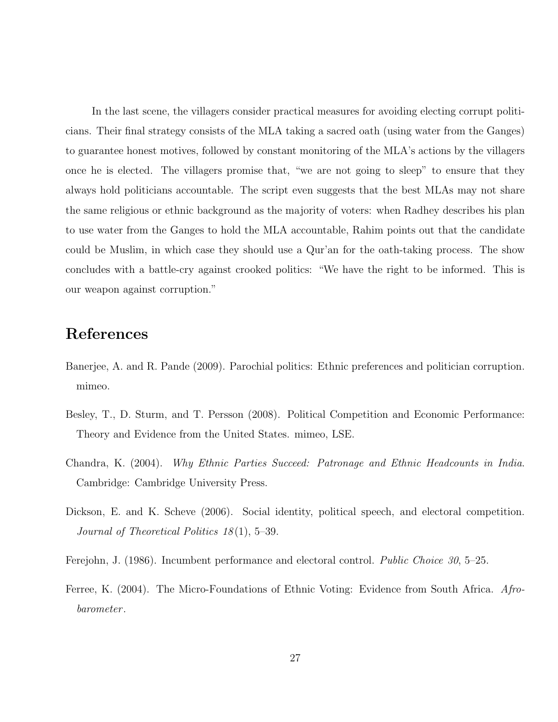In the last scene, the villagers consider practical measures for avoiding electing corrupt politicians. Their final strategy consists of the MLA taking a sacred oath (using water from the Ganges) to guarantee honest motives, followed by constant monitoring of the MLA's actions by the villagers once he is elected. The villagers promise that, "we are not going to sleep" to ensure that they always hold politicians accountable. The script even suggests that the best MLAs may not share the same religious or ethnic background as the majority of voters: when Radhey describes his plan to use water from the Ganges to hold the MLA accountable, Rahim points out that the candidate could be Muslim, in which case they should use a Qur'an for the oath-taking process. The show concludes with a battle-cry against crooked politics: "We have the right to be informed. This is our weapon against corruption."

# References

- Banerjee, A. and R. Pande (2009). Parochial politics: Ethnic preferences and politician corruption. mimeo.
- Besley, T., D. Sturm, and T. Persson (2008). Political Competition and Economic Performance: Theory and Evidence from the United States. mimeo, LSE.
- Chandra, K. (2004). Why Ethnic Parties Succeed: Patronage and Ethnic Headcounts in India. Cambridge: Cambridge University Press.
- Dickson, E. and K. Scheve (2006). Social identity, political speech, and electoral competition. Journal of Theoretical Politics  $18(1)$ , 5–39.
- Ferejohn, J. (1986). Incumbent performance and electoral control. Public Choice 30, 5–25.
- Ferree, K. (2004). The Micro-Foundations of Ethnic Voting: Evidence from South Africa. Afrobarometer .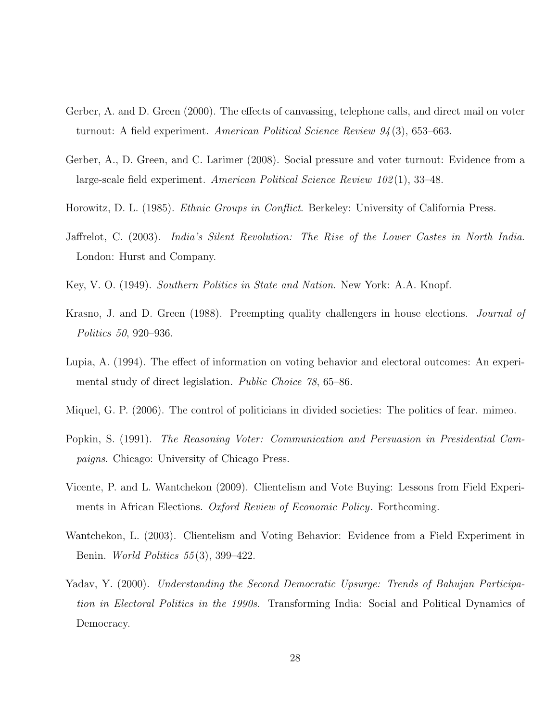- Gerber, A. and D. Green (2000). The effects of canvassing, telephone calls, and direct mail on voter turnout: A field experiment. American Political Science Review 94 (3), 653–663.
- Gerber, A., D. Green, and C. Larimer (2008). Social pressure and voter turnout: Evidence from a large-scale field experiment. American Political Science Review 102 (1), 33–48.
- Horowitz, D. L. (1985). *Ethnic Groups in Conflict*. Berkeley: University of California Press.
- Jaffrelot, C. (2003). India's Silent Revolution: The Rise of the Lower Castes in North India. London: Hurst and Company.
- Key, V. O. (1949). Southern Politics in State and Nation. New York: A.A. Knopf.
- Krasno, J. and D. Green (1988). Preempting quality challengers in house elections. *Journal of* Politics 50, 920–936.
- Lupia, A. (1994). The effect of information on voting behavior and electoral outcomes: An experimental study of direct legislation. *Public Choice 78*, 65–86.
- Miquel, G. P. (2006). The control of politicians in divided societies: The politics of fear. mimeo.
- Popkin, S. (1991). The Reasoning Voter: Communication and Persuasion in Presidential Campaigns. Chicago: University of Chicago Press.
- Vicente, P. and L. Wantchekon (2009). Clientelism and Vote Buying: Lessons from Field Experiments in African Elections. Oxford Review of Economic Policy. Forthcoming.
- Wantchekon, L. (2003). Clientelism and Voting Behavior: Evidence from a Field Experiment in Benin. World Politics 55 (3), 399–422.
- Yadav, Y. (2000). Understanding the Second Democratic Upsurge: Trends of Bahujan Participation in Electoral Politics in the 1990s. Transforming India: Social and Political Dynamics of Democracy.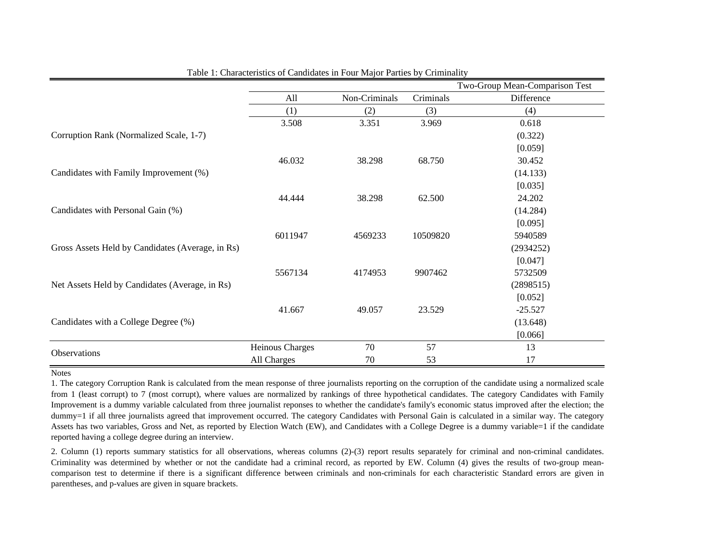|                                                  |                 |               |           | Two-Group Mean-Comparison Test |
|--------------------------------------------------|-----------------|---------------|-----------|--------------------------------|
|                                                  | All             | Non-Criminals | Criminals | Difference                     |
|                                                  | (1)             | (2)           | (3)       | (4)                            |
|                                                  | 3.508           | 3.351         | 3.969     | 0.618                          |
| Corruption Rank (Normalized Scale, 1-7)          |                 |               |           | (0.322)                        |
|                                                  |                 |               |           | [0.059]                        |
|                                                  | 46.032          | 38.298        | 68.750    | 30.452                         |
| Candidates with Family Improvement (%)           |                 |               |           | (14.133)                       |
|                                                  |                 |               |           | [0.035]                        |
|                                                  | 44.444          | 38.298        | 62.500    | 24.202                         |
| Candidates with Personal Gain (%)                |                 |               |           | (14.284)                       |
|                                                  |                 |               |           | [0.095]                        |
|                                                  | 6011947         | 4569233       | 10509820  | 5940589                        |
| Gross Assets Held by Candidates (Average, in Rs) |                 |               |           | (2934252)                      |
|                                                  |                 |               |           | [0.047]                        |
|                                                  | 5567134         | 4174953       | 9907462   | 5732509                        |
| Net Assets Held by Candidates (Average, in Rs)   |                 |               |           | (2898515)                      |
|                                                  |                 |               |           | [0.052]                        |
|                                                  | 41.667          | 49.057        | 23.529    | $-25.527$                      |
| Candidates with a College Degree (%)             |                 |               |           | (13.648)                       |
|                                                  |                 |               |           | [0.066]                        |
| Observations                                     | Heinous Charges | 70            | 57        | 13                             |
|                                                  | All Charges     | 70            | 53        | 17                             |

Table 1: Characteristics of Candidates in Four Major Parties by Criminality

1. The category Corruption Rank is calculated from the mean response of three journalists reporting on the corruption of the candidate using <sup>a</sup> normalized scale from 1 (least corrupt) to 7 (most corrupt), where values are normalized by rankings of three hypothetical candidates. The category Candidates with Family Improvement is <sup>a</sup> dummy variable calculated from three journalist reponses to whether the candidate's family's economic status improved after the election; the dummy=1 if all three journalists agreed that improvement occurred. The category Candidates with Personal Gain is calculated in a similar way. The category Assets has two variables, Gross and Net, as reported by Election Watch (EW), and Candidates with a College Degree is a dummy variable=1 if the candidate reported having a college degree during an interview.

2. Column (1) reports summary statistics for all observations, whereas columns (2)-(3) repor<sup>t</sup> results separately for criminal and non-criminal candidates. Criminality was determined by whether or not the candidate had <sup>a</sup> criminal record, as reported by EW. Column (4) gives the results of two-group meancomparison test to determine if there is <sup>a</sup> significant difference between criminals and non-criminals for each characteristic Standard errors are given in parentheses, and p-values are given in square brackets.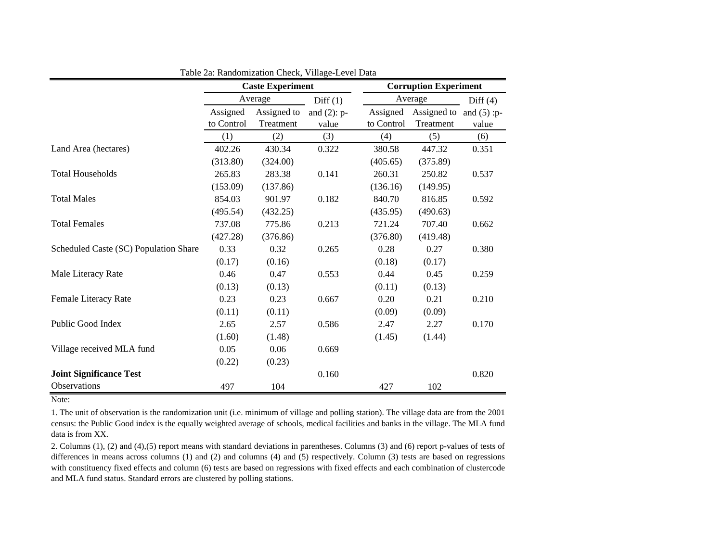|                                       |            | <b>Caste Experiment</b> |                | <b>Corruption Experiment</b> |             |                |  |
|---------------------------------------|------------|-------------------------|----------------|------------------------------|-------------|----------------|--|
|                                       |            | Average                 | Diff(1)        | Average                      | Diff $(4)$  |                |  |
|                                       | Assigned   | Assigned to             | and $(2)$ : p- | Assigned                     | Assigned to | and $(5)$ : p- |  |
|                                       | to Control | Treatment               | value          | to Control                   | Treatment   | value          |  |
|                                       | (1)        | (2)                     | (3)            | (4)                          | (5)         | (6)            |  |
| Land Area (hectares)                  | 402.26     | 430.34                  | 0.322          | 380.58                       | 447.32      | 0.351          |  |
|                                       | (313.80)   | (324.00)                |                | (405.65)                     | (375.89)    |                |  |
| <b>Total Households</b>               | 265.83     | 283.38                  | 0.141          | 260.31                       | 250.82      | 0.537          |  |
|                                       | (153.09)   | (137.86)                |                | (136.16)                     | (149.95)    |                |  |
| <b>Total Males</b>                    | 854.03     | 901.97                  | 0.182          | 840.70                       | 816.85      | 0.592          |  |
|                                       | (495.54)   | (432.25)                |                | (435.95)                     | (490.63)    |                |  |
| <b>Total Females</b>                  | 737.08     | 775.86                  | 0.213          | 721.24                       | 707.40      | 0.662          |  |
|                                       | (427.28)   | (376.86)                |                | (376.80)                     | (419.48)    |                |  |
| Scheduled Caste (SC) Population Share | 0.33       | 0.32                    | 0.265          | 0.28                         | 0.27        | 0.380          |  |
|                                       | (0.17)     | (0.16)                  |                | (0.18)                       | (0.17)      |                |  |
| Male Literacy Rate                    | 0.46       | 0.47                    | 0.553          | 0.44                         | 0.45        | 0.259          |  |
|                                       | (0.13)     | (0.13)                  |                | (0.11)                       | (0.13)      |                |  |
| Female Literacy Rate                  | 0.23       | 0.23                    | 0.667          | 0.20                         | 0.21        | 0.210          |  |
|                                       | (0.11)     | (0.11)                  |                | (0.09)                       | (0.09)      |                |  |
| Public Good Index                     | 2.65       | 2.57                    | 0.586          | 2.47                         | 2.27        | 0.170          |  |
|                                       | (1.60)     | (1.48)                  |                | (1.45)                       | (1.44)      |                |  |
| Village received MLA fund             | 0.05       | 0.06                    | 0.669          |                              |             |                |  |
|                                       | (0.22)     | (0.23)                  |                |                              |             |                |  |
| <b>Joint Significance Test</b>        |            |                         | 0.160          |                              |             | 0.820          |  |
| <b>Observations</b>                   | 497        | 104                     |                | 427                          | 102         |                |  |

Table 2a: Randomization Check, Village-Level Data

Note:

1. The unit of observation is the randomization unit (i.e. minimum of village and polling station). The village data are from the 2001 census: the Public Good index is the equally weighted average of schools, medical facilities and banks in the village. The MLA fund data is from XX.

2. Columns (1), (2) and (4),(5) repor<sup>t</sup> means with standard deviations in parentheses. Columns (3) and (6) repor<sup>t</sup> p-values of tests of differences in means across columns (1) and (2) and columns (4) and (5) respectively. Column (3) tests are based on regressions with constituency fixed effects and column (6) tests are based on regressions with fixed effects and each combination of clustercode and MLA fund status. Standard errors are clustered by polling stations.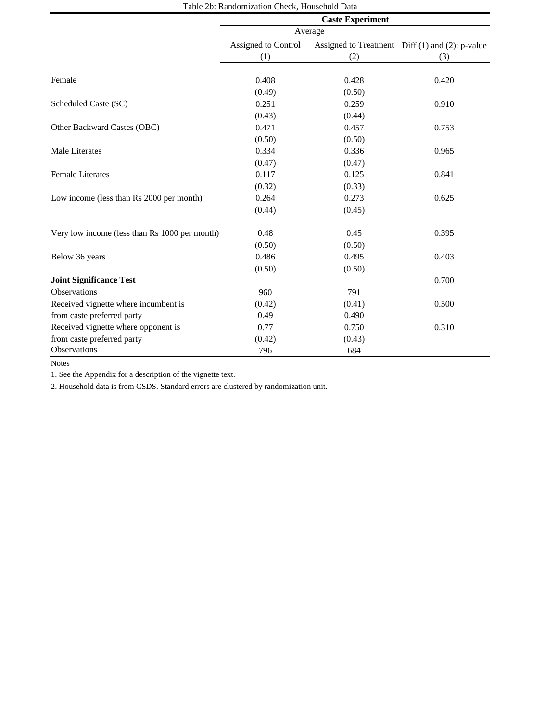|                                               | Table 20. National Zation Crieck, Household Data<br><b>Caste Experiment</b> |        |                                                 |  |  |  |  |
|-----------------------------------------------|-----------------------------------------------------------------------------|--------|-------------------------------------------------|--|--|--|--|
|                                               | Average                                                                     |        |                                                 |  |  |  |  |
|                                               | Assigned to Control                                                         |        | Assigned to Treatment Diff (1) and (2): p-value |  |  |  |  |
|                                               | (1)                                                                         | (2)    | (3)                                             |  |  |  |  |
|                                               |                                                                             |        |                                                 |  |  |  |  |
| Female                                        | 0.408                                                                       | 0.428  | 0.420                                           |  |  |  |  |
|                                               | (0.49)                                                                      | (0.50) |                                                 |  |  |  |  |
| Scheduled Caste (SC)                          | 0.251                                                                       | 0.259  | 0.910                                           |  |  |  |  |
|                                               | (0.43)                                                                      | (0.44) |                                                 |  |  |  |  |
| Other Backward Castes (OBC)                   | 0.471                                                                       | 0.457  | 0.753                                           |  |  |  |  |
|                                               | (0.50)                                                                      | (0.50) |                                                 |  |  |  |  |
| Male Literates                                | 0.334                                                                       | 0.336  | 0.965                                           |  |  |  |  |
|                                               | (0.47)                                                                      | (0.47) |                                                 |  |  |  |  |
| <b>Female Literates</b>                       | 0.117                                                                       | 0.125  | 0.841                                           |  |  |  |  |
|                                               | (0.32)                                                                      | (0.33) |                                                 |  |  |  |  |
| Low income (less than Rs 2000 per month)      | 0.264                                                                       | 0.273  | 0.625                                           |  |  |  |  |
|                                               | (0.44)                                                                      | (0.45) |                                                 |  |  |  |  |
| Very low income (less than Rs 1000 per month) | 0.48                                                                        | 0.45   | 0.395                                           |  |  |  |  |
|                                               | (0.50)                                                                      | (0.50) |                                                 |  |  |  |  |
| Below 36 years                                | 0.486                                                                       | 0.495  | 0.403                                           |  |  |  |  |
|                                               | (0.50)                                                                      | (0.50) |                                                 |  |  |  |  |
| <b>Joint Significance Test</b>                |                                                                             |        | 0.700                                           |  |  |  |  |
| Observations                                  | 960                                                                         | 791    |                                                 |  |  |  |  |
| Received vignette where incumbent is          | (0.42)                                                                      | (0.41) | 0.500                                           |  |  |  |  |
| from caste preferred party                    | 0.49                                                                        | 0.490  |                                                 |  |  |  |  |
| Received vignette where opponent is           | 0.77                                                                        | 0.750  | 0.310                                           |  |  |  |  |
| from caste preferred party                    | (0.42)                                                                      | (0.43) |                                                 |  |  |  |  |
| Observations                                  | 796                                                                         | 684    |                                                 |  |  |  |  |

Table 2b: Randomization Check, Household Data

Notes

1. See the Appendix for a description of the vignette text.

2. Household data is from CSDS. Standard errors are clustered by randomization unit.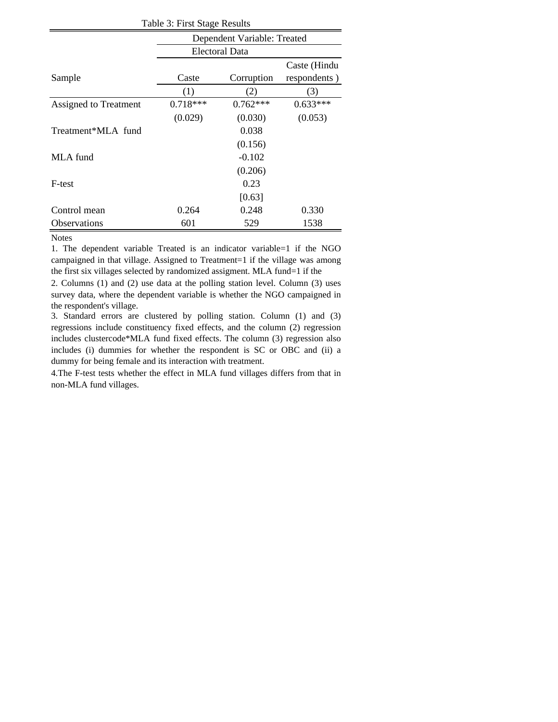| Table 3: First Stage Results |            |                |              |  |  |  |  |  |
|------------------------------|------------|----------------|--------------|--|--|--|--|--|
| Dependent Variable: Treated  |            |                |              |  |  |  |  |  |
|                              |            | Electoral Data |              |  |  |  |  |  |
|                              |            |                | Caste (Hindu |  |  |  |  |  |
| Sample                       | Caste      | Corruption     | respondents) |  |  |  |  |  |
|                              | (1)        | (2)            | (3)          |  |  |  |  |  |
| Assigned to Treatment        | $0.718***$ | $0.762***$     | $0.633***$   |  |  |  |  |  |
|                              | (0.029)    | (0.030)        | (0.053)      |  |  |  |  |  |
| Treatment*MLA fund           |            | 0.038          |              |  |  |  |  |  |
|                              |            | (0.156)        |              |  |  |  |  |  |
| MLA fund                     |            | $-0.102$       |              |  |  |  |  |  |
|                              |            | (0.206)        |              |  |  |  |  |  |
| F-test                       |            | 0.23           |              |  |  |  |  |  |
|                              |            | [0.63]         |              |  |  |  |  |  |
| Control mean                 | 0.264      | 0.248          | 0.330        |  |  |  |  |  |
| Observations                 | 601        | 529            | 1538         |  |  |  |  |  |

1. The dependent variable Treated is an indicator variable=1 if the NGO campaigned in that village. Assigned to Treatment=1 if the village was among the first six villages selected by randomized assigment. MLA fund=1 if the

2. Columns (1) and (2) use data at the polling station level. Column (3) uses survey data, where the dependent variable is whether the NGO campaigned in the respondent's village.

3. Standard errors are clustered by polling station. Column (1) and (3) regressions include constituency fixed effects, and the column (2) regression includes clustercode\*MLA fund fixed effects. The column (3) regression also includes (i) dummies for whether the respondent is SC or OBC and (ii) a dummy for being female and its interaction with treatment.

4.The F-test tests whether the effect in MLA fund villages differs from that in non-MLA fund villages.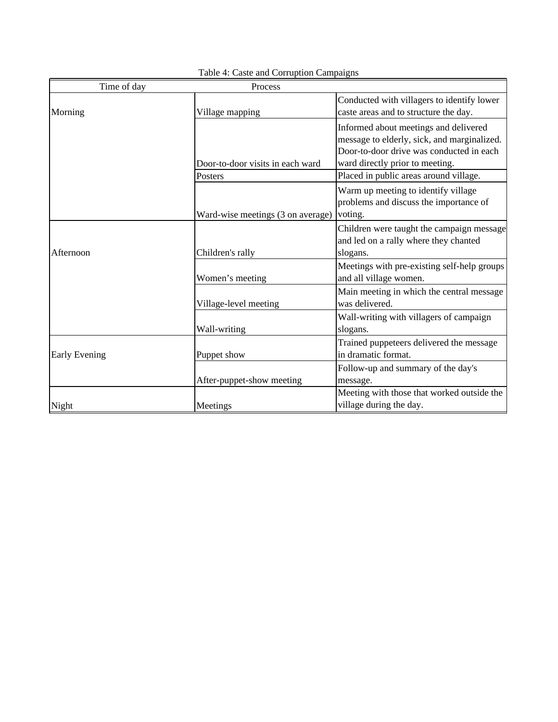| Time of day          | Process                           |                                                                                                                                                                     |
|----------------------|-----------------------------------|---------------------------------------------------------------------------------------------------------------------------------------------------------------------|
| Morning              | Village mapping                   | Conducted with villagers to identify lower<br>caste areas and to structure the day.                                                                                 |
|                      | Door-to-door visits in each ward  | Informed about meetings and delivered<br>message to elderly, sick, and marginalized.<br>Door-to-door drive was conducted in each<br>ward directly prior to meeting. |
|                      | Posters                           | Placed in public areas around village.                                                                                                                              |
|                      | Ward-wise meetings (3 on average) | Warm up meeting to identify village<br>problems and discuss the importance of<br>voting.                                                                            |
| Afternoon            | Children's rally                  | Children were taught the campaign message<br>and led on a rally where they chanted<br>slogans.                                                                      |
|                      | Women's meeting                   | Meetings with pre-existing self-help groups<br>and all village women.                                                                                               |
|                      | Village-level meeting             | Main meeting in which the central message<br>was delivered.                                                                                                         |
|                      | Wall-writing                      | Wall-writing with villagers of campaign<br>slogans.                                                                                                                 |
| <b>Early Evening</b> | Puppet show                       | Trained puppeteers delivered the message<br>in dramatic format.                                                                                                     |
|                      | After-puppet-show meeting         | Follow-up and summary of the day's<br>message.                                                                                                                      |
| Night                | Meetings                          | Meeting with those that worked outside the<br>village during the day.                                                                                               |

Table 4: Caste and Corruption Campaigns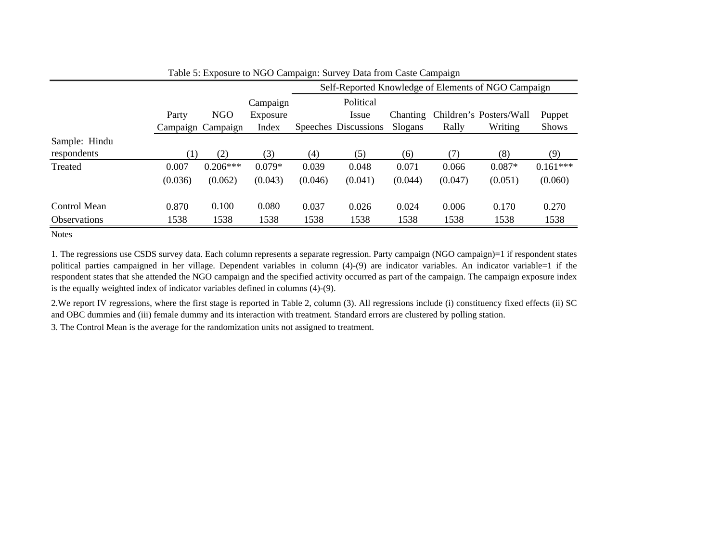|                     |                  |                   |          | Self-Reported Knowledge of Elements of NGO Campaign |                      |                 |         |                         |              |  |  |  |
|---------------------|------------------|-------------------|----------|-----------------------------------------------------|----------------------|-----------------|---------|-------------------------|--------------|--|--|--|
|                     |                  |                   | Campaign |                                                     | Political            |                 |         |                         |              |  |  |  |
|                     | Party            | <b>NGO</b>        | Exposure |                                                     | Issue                | <b>Chanting</b> |         | Children's Posters/Wall | Puppet       |  |  |  |
|                     |                  | Campaign Campaign | Index    |                                                     | Speeches Discussions | Slogans         | Rally   | Writing                 | <b>Shows</b> |  |  |  |
| Sample: Hindu       |                  |                   |          |                                                     |                      |                 |         |                         |              |  |  |  |
| respondents         | $\left(1\right)$ | (2)               | (3)      | (4)                                                 | (5)                  | (6)             | (7)     | (8)                     | (9)          |  |  |  |
| Treated             | 0.007            | $0.206***$        | $0.079*$ | 0.039                                               | 0.048                | 0.071           | 0.066   | $0.087*$                | $0.161***$   |  |  |  |
|                     | (0.036)          | (0.062)           | (0.043)  | (0.046)                                             | (0.041)              | (0.044)         | (0.047) | (0.051)                 | (0.060)      |  |  |  |
| Control Mean        | 0.870            | 0.100             | 0.080    | 0.037                                               | 0.026                | 0.024           | 0.006   | 0.170                   | 0.270        |  |  |  |
| <b>Observations</b> | 1538             | 1538              | 1538     | 1538                                                | 1538                 | 1538            | 1538    | 1538                    | 1538         |  |  |  |

| Table 5: Exposure to NGO Campaign: Survey Data from Caste Campaign |  |  |
|--------------------------------------------------------------------|--|--|
|                                                                    |  |  |

1. The regressions use CSDS survey data. Each column represents <sup>a</sup> separate regression. Party campaign (NGO campaign)=1 if respondent states political parties campaigned in her village. Dependent variables in column (4)-(9) are indicator variables. An indicator variable=1 if the respondent states that she attended the NGO campaign and the specified activity occurred as par<sup>t</sup> of the campaign. The campaign exposure index is the equally weighted index of indicator variables defined in columns (4)-(9).

2.We repor<sup>t</sup> IV regressions, where the first stage is reported in Table 2, column (3). All regressions include (i) constituency fixed effects (ii) SC and OBC dummies and (iii) female dummy and its interaction with treatment. Standard errors are clustered by polling station.

3. The Control Mean is the average for the randomization units not assigned to treatment.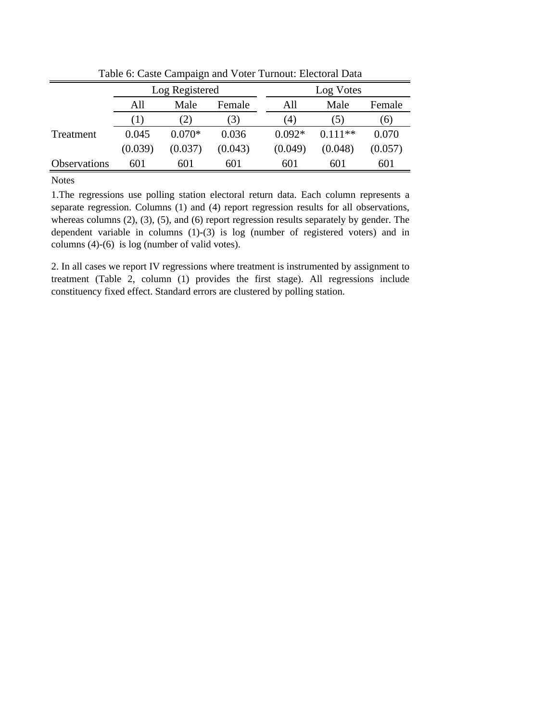|                     | Log Registered |                |         |             | Log Votes |           |         |  |
|---------------------|----------------|----------------|---------|-------------|-----------|-----------|---------|--|
|                     | All            | Male<br>Female |         | All<br>Male |           | Female    |         |  |
|                     | . 1. 1         | (2)            | 3)      |             | (4)       | (5)       | (6)     |  |
| Treatment           | 0.045          | $0.070*$       | 0.036   |             | $0.092*$  | $0.111**$ | 0.070   |  |
|                     | (0.039)        | (0.037)        | (0.043) |             | (0.049)   | (0.048)   | (0.057) |  |
| <b>Observations</b> | 601            | 601            | 601     |             | 601       | 601       | 601     |  |

Table 6: Caste Campaign and Voter Turnout: Electoral Data

1.The regressions use polling station electoral return data. Each column represents a separate regression. Columns (1) and (4) report regression results for all observations, whereas columns (2), (3), (5), and (6) report regression results separately by gender. The dependent variable in columns (1)-(3) is log (number of registered voters) and in columns (4)-(6) is log (number of valid votes).

2. In all cases we report IV regressions where treatment is instrumented by assignment to treatment (Table 2, column (1) provides the first stage). All regressions include constituency fixed effect. Standard errors are clustered by polling station.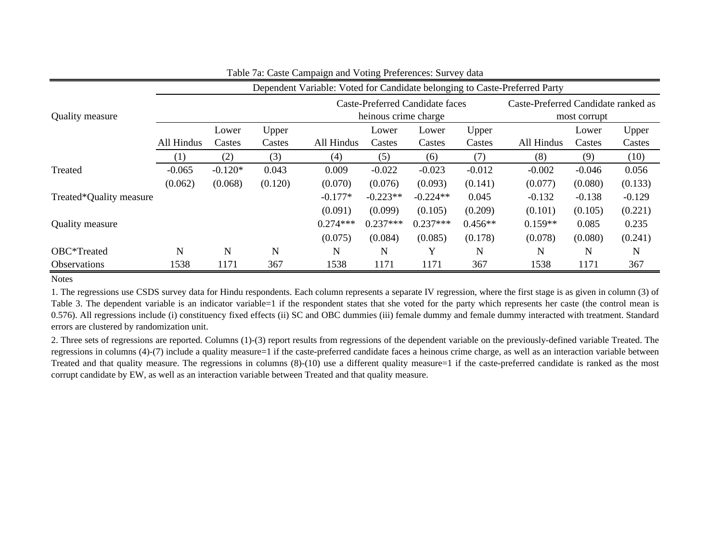|                         | Dependent Variable: Voted for Candidate belonging to Caste-Preferred Party |                                                         |                 |            |                 |                 |                 |            |                                                     |                 |  |
|-------------------------|----------------------------------------------------------------------------|---------------------------------------------------------|-----------------|------------|-----------------|-----------------|-----------------|------------|-----------------------------------------------------|-----------------|--|
| <b>Quality measure</b>  |                                                                            | Caste-Preferred Candidate faces<br>heinous crime charge |                 |            |                 |                 |                 |            | Caste-Preferred Candidate ranked as<br>most corrupt |                 |  |
|                         | All Hindus                                                                 | Lower<br>Castes                                         | Upper<br>Castes | All Hindus | Lower<br>Castes | Lower<br>Castes | Upper<br>Castes | All Hindus | Lower<br>Castes                                     | Upper<br>Castes |  |
|                         | (1)                                                                        | (2)                                                     | (3)             | (4)        | (5)             | (6)             | (7)             | (8)        | (9)                                                 | (10)            |  |
| Treated                 | $-0.065$                                                                   | $-0.120*$                                               | 0.043           | 0.009      | $-0.022$        | $-0.023$        | $-0.012$        | $-0.002$   | $-0.046$                                            | 0.056           |  |
|                         | (0.062)                                                                    | (0.068)                                                 | (0.120)         | (0.070)    | (0.076)         | (0.093)         | (0.141)         | (0.077)    | (0.080)                                             | (0.133)         |  |
| Treated*Quality measure |                                                                            |                                                         |                 | $-0.177*$  | $-0.223**$      | $-0.224**$      | 0.045           | $-0.132$   | $-0.138$                                            | $-0.129$        |  |
|                         |                                                                            |                                                         |                 | (0.091)    | (0.099)         | (0.105)         | (0.209)         | (0.101)    | (0.105)                                             | (0.221)         |  |
| <b>Quality measure</b>  |                                                                            |                                                         |                 | $0.274***$ | $0.237***$      | $0.237***$      | $0.456**$       | $0.159**$  | 0.085                                               | 0.235           |  |
|                         |                                                                            |                                                         |                 | (0.075)    | (0.084)         | (0.085)         | (0.178)         | (0.078)    | (0.080)                                             | (0.241)         |  |
| OBC*Treated             | N                                                                          | N                                                       | $\mathbf N$     | N          | N               | Y               | $\mathbf N$     | N          | N                                                   | N               |  |
| <b>Observations</b>     | 1538                                                                       | 1171                                                    | 367             | 1538       | 1171            | 1171            | 367             | 1538       | 1171                                                | 367             |  |

#### Table 7a: Caste Campaign and Voting Preferences: Survey data

Notes

1. The regressions use CSDS survey data for Hindu respondents. Each column represents <sup>a</sup> separate IV regression, where the first stage is as given in column (3) of Table 3. The dependent variable is an indicator variable=1 if the respondent states that she voted for the party which represents her caste (the control mean is 0.576). All regressions include (i) constituency fixed effects (ii) SC and OBC dummies (iii) female dummy and female dummy interacted with treatment. Standard errors are clustered by randomization unit.

2. Three sets of regressions are reported. Columns (1)-(3) repor<sup>t</sup> results from regressions of the dependent variable on the previously-defined variable Treated. The regressions in columns (4)-(7) include <sup>a</sup> quality measure=1 if the caste-preferred candidate faces <sup>a</sup> heinous crime charge, as well as an interaction variable between Treated and that quality measure. The regressions in columns (8)-(10) use <sup>a</sup> different quality measure=1 if the caste-preferred candidate is ranked as the most corrupt candidate by EW, as well as an interaction variable between Treated and that quality measure.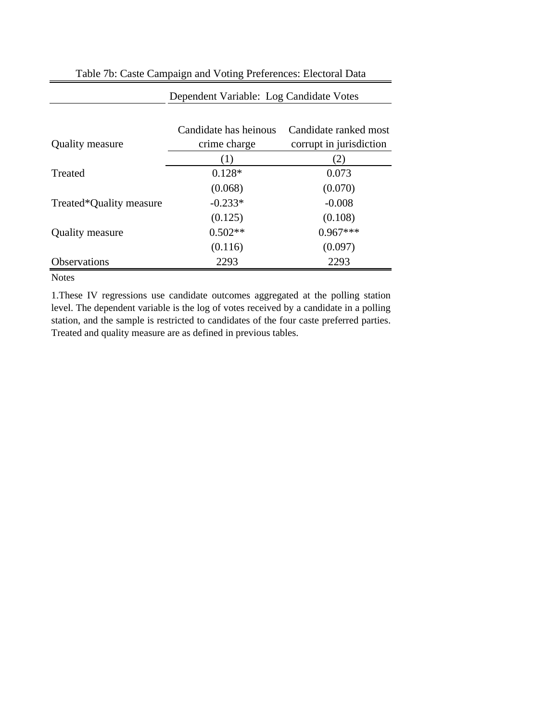| <b>Quality measure</b>  | Candidate has heinous<br>crime charge | Candidate ranked most<br>corrupt in jurisdiction |
|-------------------------|---------------------------------------|--------------------------------------------------|
|                         | (1)                                   | (2)                                              |
| Treated                 | $0.128*$                              | 0.073                                            |
|                         | (0.068)                               | (0.070)                                          |
| Treated*Quality measure | $-0.233*$                             | $-0.008$                                         |
|                         | (0.125)                               | (0.108)                                          |
| <b>Quality measure</b>  | $0.502**$                             | $0.967***$                                       |
|                         | (0.116)                               | (0.097)                                          |
| Observations            | 2293                                  | 2293                                             |

Table 7b: Caste Campaign and Voting Preferences: Electoral Data

Dependent Variable: Log Candidate Votes

#### Notes

1.These IV regressions use candidate outcomes aggregated at the polling station level. The dependent variable is the log of votes received by a candidate in a polling station, and the sample is restricted to candidates of the four caste preferred parties. Treated and quality measure are as defined in previous tables.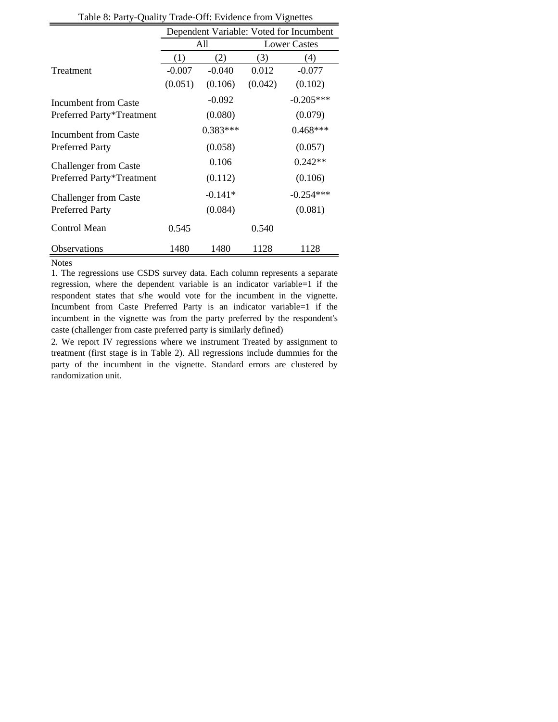| raone of rarry Quanty Trade On: Evidence Home explored |                                         |            |         |                     |  |  |  |  |  |  |
|--------------------------------------------------------|-----------------------------------------|------------|---------|---------------------|--|--|--|--|--|--|
|                                                        | Dependent Variable: Voted for Incumbent |            |         |                     |  |  |  |  |  |  |
|                                                        |                                         | All        |         | <b>Lower Castes</b> |  |  |  |  |  |  |
|                                                        | (1)                                     | (2)        | (3)     | (4)                 |  |  |  |  |  |  |
| Treatment                                              | $-0.007$                                | $-0.040$   | 0.012   | $-0.077$            |  |  |  |  |  |  |
|                                                        | (0.051)                                 | (0.106)    | (0.042) | (0.102)             |  |  |  |  |  |  |
| Incumbent from Caste                                   |                                         | $-0.092$   |         | $-0.205***$         |  |  |  |  |  |  |
| Preferred Party*Treatment                              |                                         | (0.080)    |         | (0.079)             |  |  |  |  |  |  |
| Incumbent from Caste                                   |                                         | $0.383***$ |         | $0.468***$          |  |  |  |  |  |  |
| <b>Preferred Party</b>                                 |                                         | (0.058)    |         | (0.057)             |  |  |  |  |  |  |
| <b>Challenger from Caste</b>                           |                                         | 0.106      |         | $0.242**$           |  |  |  |  |  |  |
| Preferred Party*Treatment                              |                                         | (0.112)    |         | (0.106)             |  |  |  |  |  |  |
| <b>Challenger from Caste</b>                           |                                         | $-0.141*$  |         | $-0.254***$         |  |  |  |  |  |  |
| <b>Preferred Party</b>                                 |                                         | (0.084)    |         | (0.081)             |  |  |  |  |  |  |
| Control Mean                                           | 0.545                                   |            | 0.540   |                     |  |  |  |  |  |  |
| Observations                                           | 1480                                    | 1480       | 1128    | 1128                |  |  |  |  |  |  |

Table 8: Party-Quality Trade-Off: Evidence from Vignettes

1. The regressions use CSDS survey data. Each column represents a separate regression, where the dependent variable is an indicator variable=1 if the respondent states that s/he would vote for the incumbent in the vignette. Incumbent from Caste Preferred Party is an indicator variable=1 if the incumbent in the vignette was from the party preferred by the respondent's caste (challenger from caste preferred party is similarly defined)

2. We report IV regressions where we instrument Treated by assignment to treatment (first stage is in Table 2). All regressions include dummies for the party of the incumbent in the vignette. Standard errors are clustered by randomization unit.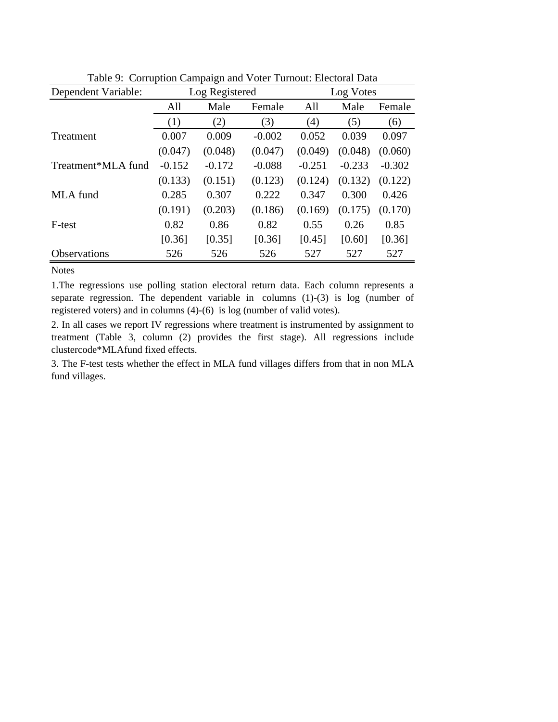| Dependent Variable: |          | Log Registered |          | Log Votes |          |          |
|---------------------|----------|----------------|----------|-----------|----------|----------|
|                     | All      | Male<br>Female |          | All       | Male     | Female   |
|                     | (1)      | (2)            | (3)      | (4)       | (5)      | (6)      |
| <b>Treatment</b>    | 0.007    | 0.009          | $-0.002$ | 0.052     | 0.039    | 0.097    |
|                     | (0.047)  | (0.048)        | (0.047)  | (0.049)   | (0.048)  | (0.060)  |
| Treatment*MLA fund  | $-0.152$ | $-0.172$       | $-0.088$ | $-0.251$  | $-0.233$ | $-0.302$ |
|                     | (0.133)  | (0.151)        | (0.123)  | (0.124)   | (0.132)  | (0.122)  |
| MLA fund            | 0.285    | 0.307          | 0.222    | 0.347     | 0.300    | 0.426    |
|                     | (0.191)  | (0.203)        | (0.186)  | (0.169)   | (0.175)  | (0.170)  |
| F-test              | 0.82     | 0.86           | 0.82     | 0.55      | 0.26     | 0.85     |
|                     | [0.36]   | [0.35]         | [0.36]   | [0.45]    | [0.60]   | [0.36]   |
| Observations        | 526      | 526            | 526      | 527       | 527      | 527      |

Table 9: Corruption Campaign and Voter Turnout: Electoral Data

1.The regressions use polling station electoral return data. Each column represents a separate regression. The dependent variable in columns (1)-(3) is log (number of registered voters) and in columns (4)-(6) is log (number of valid votes).

2. In all cases we report IV regressions where treatment is instrumented by assignment to treatment (Table 3, column (2) provides the first stage). All regressions include clustercode\*MLAfund fixed effects.

3. The F-test tests whether the effect in MLA fund villages differs from that in non MLA fund villages.